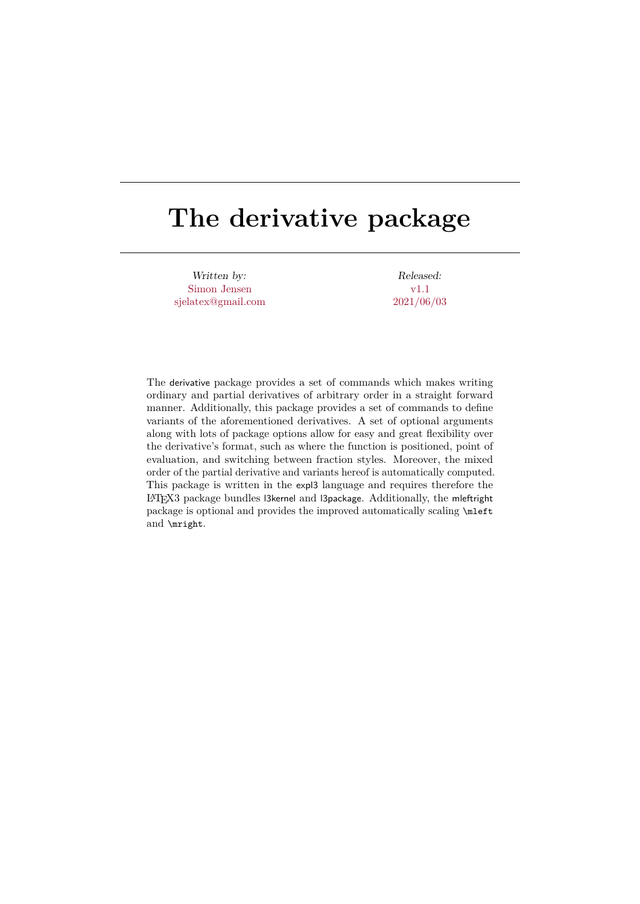# **The derivative package**

Written by: Simon Jensen sjelatex@gmail.com

Released: v1.1 2021/06/03

The derivative package provides a set of commands which makes writing ordinary and partial derivatives of arbitrary order in a straight forward manner. Additionally, this package provides a set of commands to define variants of the aforementioned derivatives. A set of optional arguments along with lots of package options allow for easy and great flexibility over the derivative's format, such as where the function is positioned, point of evaluation, and switching between fraction styles. Moreover, the mixed order of the partial derivative and variants hereof is automatically computed. This package is written in the expl3 language and requires therefore the LATEX3 package bundles l3kernel and l3package. Additionally, the mleftright package is optional and provides the improved automatically scaling \mleft and \mright.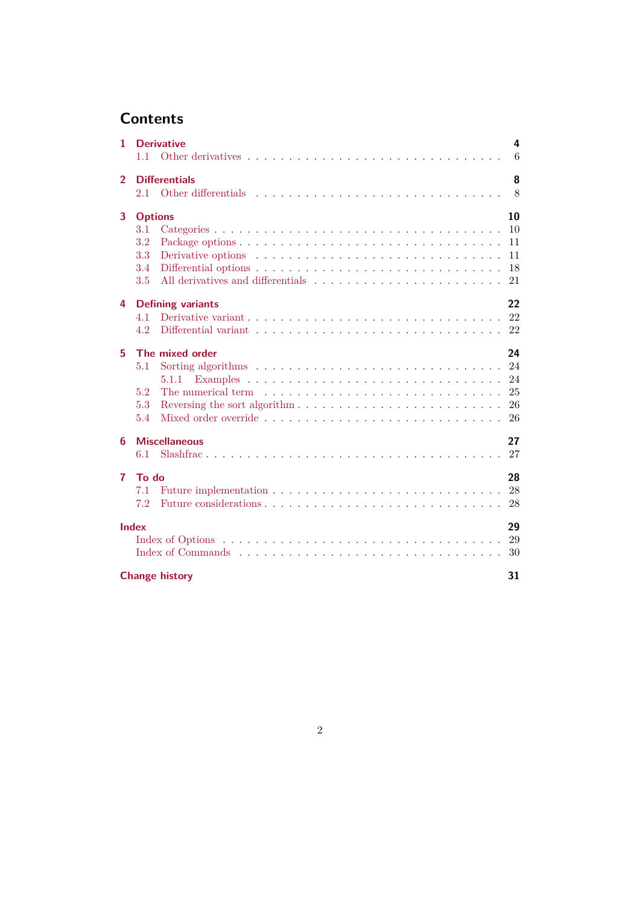## **Contents**

| $\mathbf{1}$   |                | <b>Derivative</b><br>$\overline{4}$                                                              |  |
|----------------|----------------|--------------------------------------------------------------------------------------------------|--|
|                | $1.1 -$        |                                                                                                  |  |
| $\overline{2}$ |                | 8<br><b>Differentials</b>                                                                        |  |
|                | 2.1            |                                                                                                  |  |
| 3              | <b>Options</b> | 10                                                                                               |  |
|                | 3.1            |                                                                                                  |  |
|                | 3.2            |                                                                                                  |  |
|                | 3.3            | Derivative options $\ldots \ldots \ldots \ldots \ldots \ldots \ldots \ldots \ldots \ldots$       |  |
|                | 3.4            |                                                                                                  |  |
|                | $3.5\,$        | 21                                                                                               |  |
| 4              |                | 22<br><b>Defining variants</b>                                                                   |  |
|                | 4.1            |                                                                                                  |  |
|                | 4.2            |                                                                                                  |  |
| 5              |                | 24<br>The mixed order                                                                            |  |
|                | 5.1            |                                                                                                  |  |
|                |                | 5.1.1                                                                                            |  |
|                | 5.2            |                                                                                                  |  |
|                | 5.3            |                                                                                                  |  |
|                | 5.4            |                                                                                                  |  |
| 6              |                | 27<br><b>Miscellaneous</b>                                                                       |  |
|                | 6.1            |                                                                                                  |  |
| $\overline{7}$ | To do          | 28                                                                                               |  |
|                | 7.1            | Future implementation $\ldots \ldots \ldots \ldots \ldots \ldots \ldots \ldots \ldots \ldots$ 28 |  |
|                | 7.2            |                                                                                                  |  |
|                | <b>Index</b>   | 29                                                                                               |  |
|                |                |                                                                                                  |  |
|                |                |                                                                                                  |  |
|                |                | 31<br><b>Change history</b>                                                                      |  |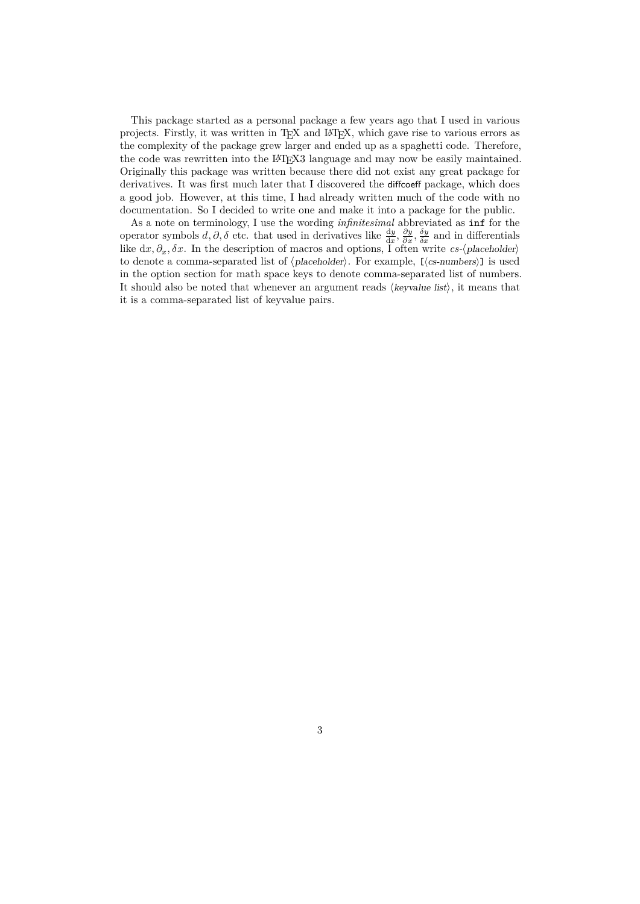This package started as a personal package a few years ago that I used in various projects. Firstly, it was written in TEX and LATEX, which gave rise to various errors as the complexity of the package grew larger and ended up as a spaghetti code. Therefore, the code was rewritten into the LAT<sub>EX3</sub> language and may now be easily maintained. Originally this package was written because there did not exist any great package for derivatives. It was first much later that I discovered the diffcoeff package, which does a good job. However, at this time, I had already written much of the code with no documentation. So I decided to write one and make it into a package for the public.

As a note on terminology, I use the wording *infinitesimal* abbreviated as inf for the operator symbols  $d, \partial, \delta$  etc. that used in derivatives like  $\frac{dy}{dx}, \frac{\partial y}{\partial x}, \frac{\delta y}{\delta x}$  and in differentials like  $dx, \partial_x, \delta x$ . In the description of macros and options, I often write  $cs$ - $\langle$ *placeholder* $\rangle$ to denote a comma-separated list of  $\langle$ *placeholder* $\rangle$ . For example, [ $\langle$ *cs-numbers* $\rangle$ ] is used in the option section for math space keys to denote comma-separated list of numbers. It should also be noted that whenever an argument reads  $\langle keyvalue\; list \rangle$ , it means that it is a comma-separated list of keyvalue pairs.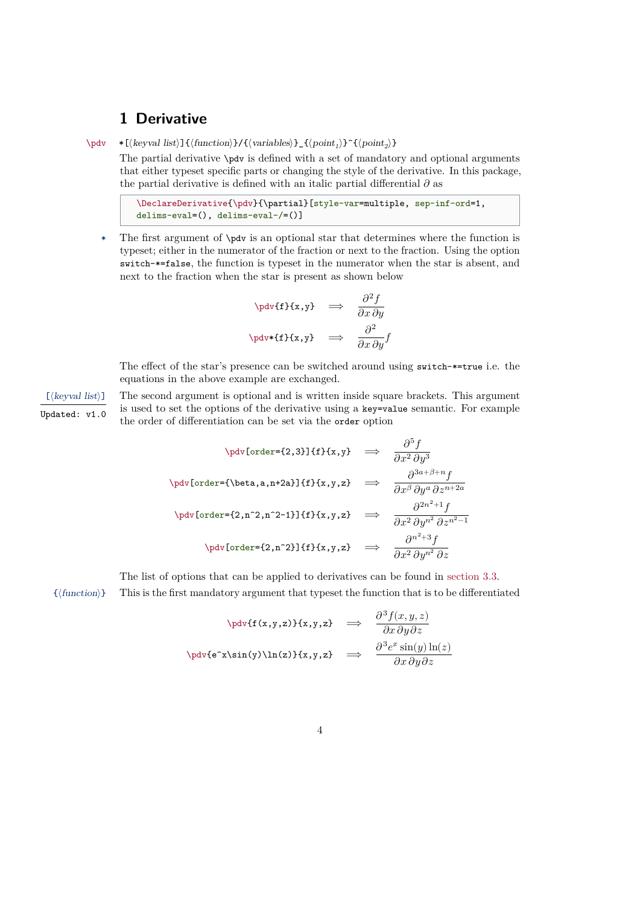## <span id="page-3-1"></span><span id="page-3-0"></span>**1 Derivative**

\pdv  $\ast$ [ $\langle \text{keyval list} \rangle$ ] { $\langle \text{function} \rangle$ }/ $\{ \langle \text{variable} \rangle \}$  { $\langle \text{point}_1 \rangle$ } $\hat{\}$ { $\langle \text{point}_2 \rangle$ }

The partial derivative \pdv is defined with a set of mandatory and optional arguments that either typeset specific parts or changing the style of the derivative. In this package, the partial derivative is defined with an italic partial differential  $\partial$  as

```
\DeclareDerivative{\pdv}{\partial}[style-var=multiple, sep-inf-ord=1,
delims-eval=(), delims-eval-/=()]
```
\* The first argument of \pdv is an optional star that determines where the function is typeset; either in the numerator of the fraction or next to the fraction. Using the option switch-\*=false, the function is typeset in the numerator when the star is absent, and next to the fraction when the star is present as shown below

$$
\phi\{f\}(x,y) \implies \frac{\partial^2 f}{\partial x \partial y}
$$
\n
$$
\phi\left\{f\}(x,y) \implies \frac{\partial^2}{\partial x \partial y}f
$$

The effect of the star's presence can be switched around using switch-\*=true i.e. the equations in the above example are exchanged.

[ $\langle \text{keyval list} \rangle$ ] The second argument is optional and is written inside square brackets. This argument  $\overline{U_{\text{pdated}}}$ : v1.0 is used to set the options of the derivative using a key=value semantic. For example the order of differentiation can be set via the order option

$$
\begin{array}{rcl}\n\text{poly[order=}\{2,3\}]\{f\}\{x,y\} & \Rightarrow & \frac{\partial^5 f}{\partial x^2 \partial y^3} \\
\text{poly[order=}\{\beta_{\text{data},n+2a\}]\{f\}\{x,y,z\} & \Rightarrow & \frac{\partial^{3a+\beta+n} f}{\partial x^{\beta} \partial y^a \partial z^{n+2a}} \\
\text{poly[order=}\{2,n^2,n^2-1\}]\{f\}\{x,y,z\} & \Rightarrow & \frac{\partial^{2n^2+1} f}{\partial x^2 \partial y^{n^2} \partial z^{n^2-1}} \\
\text{poly[order=}\{2,n^2\}]\{f\}\{x,y,z\} & \Rightarrow & \frac{\partial^{n^2+3} f}{\partial x^2 \partial y^{n^2} \partial z}\n\end{array}
$$

The list of options that can be applied to derivatives can be found in [section 3.3.](#page-10-1)

{⟨function⟩} This is the first mandatory argument that typeset the function that is to be differentiated

$$
\nabla \text{tdv}(f(x,y,z))\{x,y,z\} \implies \frac{\partial^3 f(x,y,z)}{\partial x \partial y \partial z}
$$
\n
$$
\nabla \text{dv}(e^x \sin(y) \ln(z))\{x,y,z\} \implies \frac{\partial^3 e^x \sin(y) \ln(z)}{\partial x \partial y \partial z}
$$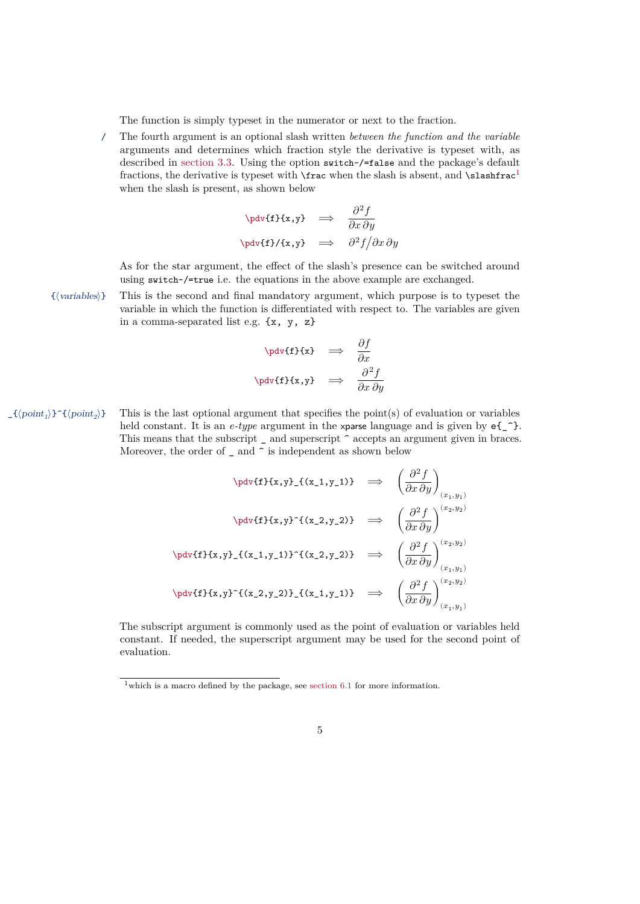<span id="page-4-1"></span>The function is simply typeset in the numerator or next to the fraction.

/ The fourth argument is an optional slash written *between the function and the variable* arguments and determines which fraction style the derivative is typeset with, as described in [section 3.3.](#page-10-1) Using the option switch-/=false and the package's default fractions, the derivative is typeset with  $\frac{\text{area}}{\text{area}}$  is absent, and  $\text{class}$ when the slash is present, as shown below

$$
\phi\{f\}\{x,y\} \implies \frac{\partial^2 f}{\partial x \partial y}
$$
\n
$$
\phi\{f\}/\{x,y\} \implies \frac{\partial^2 f}{\partial x \partial y}
$$

As for the star argument, the effect of the slash's presence can be switched around using switch-/=true i.e. the equations in the above example are exchanged.

{⟨variables⟩} This is the second and final mandatory argument, which purpose is to typeset the variable in which the function is differentiated with respect to. The variables are given in a comma-separated list e.g. {x, y, z}

$$
\phi\text{tf}(x) \implies \frac{\partial f}{\partial x}
$$
\n
$$
\phi\text{tf}(x,y) \implies \frac{\partial^2 f}{\partial x \partial y}
$$

This is the last optional argument that specifies the point $(s)$  of evaluation or variables  $\rangle$ }^{ $\langle point_2 \rangle$ } held constant. It is an *e-type* argument in the xparse language and is given by  $e\{\hat{\ }$ . This means that the subscript  $\overline{\phantom{a}}$  and superscript  $\hat{\phantom{a}}$  accepts an argument given in braces. Moreover, the order of  $\overline{\phantom{a}}$  and  $\overline{\phantom{a}}$  is independent as shown below

$$
\begin{array}{rcl}\n\text{polyf1f1x,y} &= \left(\frac{\partial^2 f}{\partial x \partial y}\right)_{(x_1,y_1)} \\
\text{polyf1f1x,y}^{(x_2,y_2)} & \Rightarrow & \left(\frac{\partial^2 f}{\partial x \partial y}\right)^{(x_2,y_2)} \\
\text{polyf1f1x,y} &= \left(\frac{\partial^2 f}{\partial x \partial y}\right)_{(x_1,y_1)}^{(x_2,y_2)} \\
\text{polyf1f1x,y}^{(x_2,y_1)} &= \left(\frac{\partial^2 f}{\partial x \partial y}\right)_{(x_1,y_1)}^{(x_2,y_2)} \\
\text{polyf1f1x,y}^{(x_2,y_1)} &= \left(\frac{\partial^2 f}{\partial x \partial y}\right)_{(x_1,y_1)}^{(x_2,y_2)} \\
\text{polyf1f1x,y}^{(x_2,y_1)} & \Rightarrow & \left(\frac{\partial^2 f}{\partial x \partial y}\right)_{(x_1,y_1)}^{(x_2,y_2)} \\
\text{polyf1f1x,y}^{(x_2,y_1)} & \Rightarrow & \left(\frac{\partial^2 f}{\partial x \partial y}\right)_{(x_1,y_1)}^{(x_2,y_2)} \\
\text{polyf1f1x,y}^{(x_2,y_1)} & \Rightarrow & \left(\frac{\partial^2 f}{\partial x \partial y}\right)_{(x_1,y_1)}^{(x_2,y_2)} \\
\text{polyf1f1x,y}^{(x_2,y_1)} & \Rightarrow & \left(\frac{\partial^2 f}{\partial x \partial y}\right)_{(x_1,y_1)}^{(x_2,y_2)} \\
\text{polyf1f1x,y}^{(x_2,y_1)} & \Rightarrow & \left(\frac{\partial^2 f}{\partial x \partial y}\right)_{(x_1,y_1)}^{(x_2,y_2)} \\
\text{polyf1f1x,y}^{(x_2,y_1)} & \Rightarrow & \left(\frac{\partial^2 f}{\partial x \partial y}\right)_{(x_1,y_1)}^{(x_2,y_2)} \\
\text{polyf1f1x,y}^{(x_2,y_1)} & \Rightarrow & \left(\frac{\partial^2 f}{\partial x \partial y}\right)_{(x_1,y_1)}^{(x_2,y_2)} \\
\text{polyf1f1x,y
$$

The subscript argument is commonly used as the point of evaluation or variables held constant. If needed, the superscript argument may be used for the second point of evaluation.

<span id="page-4-0"></span><sup>&</sup>lt;sup>1</sup>which is a macro defined by the package, see [section 6.1](#page-26-1) for more information.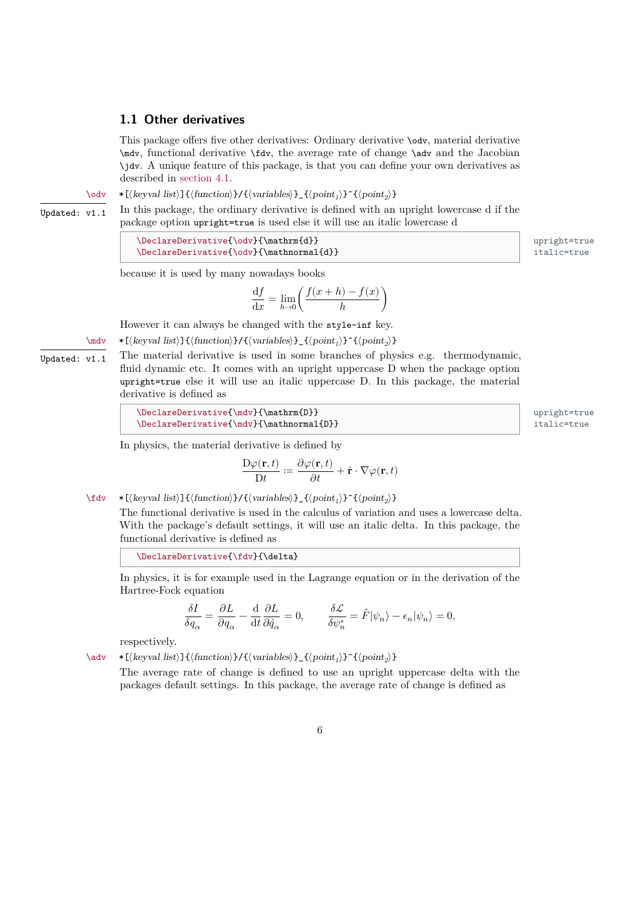## <span id="page-5-1"></span><span id="page-5-0"></span>**1.1 Other derivatives**

This package offers five other derivatives: Ordinary derivative \odv, material derivative \mdv, functional derivative \fdv, the average rate of change \adv and the Jacobian \jdv. A unique feature of this package, is that you can define your own derivatives as described in [section 4.1.](#page-21-1)

\odv  $*(\text{keyval list}) {\({\text{function}})} {\({\text{variable}}\}) {\_{\{\text{point}_1\}}^{\{\text{point}_2\}}$ 

Updated:  $v1.1$  In this package, the ordinary derivative is defined with an upright lowercase d if the package option upright=true is used else it will use an italic lowercase d

> \DeclareDerivative{\odv}{\mathrm{d}} upright=true  $\Delta$  \DeclareDerivative{\odv}{\mathnormal{d}} italic=true

because it is used by many nowadays books

$$
\frac{\mathrm{d}f}{\mathrm{d}x}=\lim_{h\to 0}\biggl(\frac{f(x+h)-f(x)}{h}\biggr)
$$

However it can always be changed with the style-inf key.

\mdv  $*[(keyval list)] {\frac{function}{}/(\varphi)} \$  { $\{point_1\}^{\{point_2\}}$ }

Updated:  $v1.1$  The material derivative is used in some branches of physics e.g. thermodynamic, fluid dynamic etc. It comes with an upright uppercase D when the package option upright=true else it will use an italic uppercase D. In this package, the material derivative is defined as

In physics, the material derivative is defined by

$$
\frac{\mathbf{D}\varphi(\mathbf{r},t)}{\mathbf{D}t} \coloneqq \frac{\partial \varphi(\mathbf{r},t)}{\partial t} + \dot{\mathbf{r}} \cdot \nabla \varphi(\mathbf{r},t)
$$

\fdv  $\ast$ [ $\langle \text{keyval list} \rangle$ ]{ $\langle \text{function} \rangle$ }/ $\langle \text{variable} \rangle$ }  $\{ \langle \text{point}_1 \rangle \}$   $\{ \langle \text{point}_2 \rangle \}$ 

The functional derivative is used in the calculus of variation and uses a lowercase delta. With the package's default settings, it will use an italic delta. In this package, the functional derivative is defined as

\DeclareDerivative{\fdv}{\delta}

In physics, it is for example used in the Lagrange equation or in the derivation of the Hartree-Fock equation

$$
\frac{\delta I}{\delta q_{\alpha}}=\frac{\partial L}{\partial q_{\alpha}}-\frac{{\rm d}}{{\rm d}t}\frac{\partial L}{\partial \dot{q}_{\alpha}}=0,\qquad \frac{\delta \mathcal{L}}{\delta \psi_n^*}=\hat{F}|\psi_n\rangle-\epsilon_n|\psi_n\rangle=0,
$$

respectively.

\adv  $*[(keyval list)] {\frac{function}{}/(\varphi)} {\frac{point_1}{\hat{1}}(\varphi)}$ 

The average rate of change is defined to use an upright uppercase delta with the packages default settings. In this package, the average rate of change is defined as

 $upright=true$  $\mathtt{italic}$ =true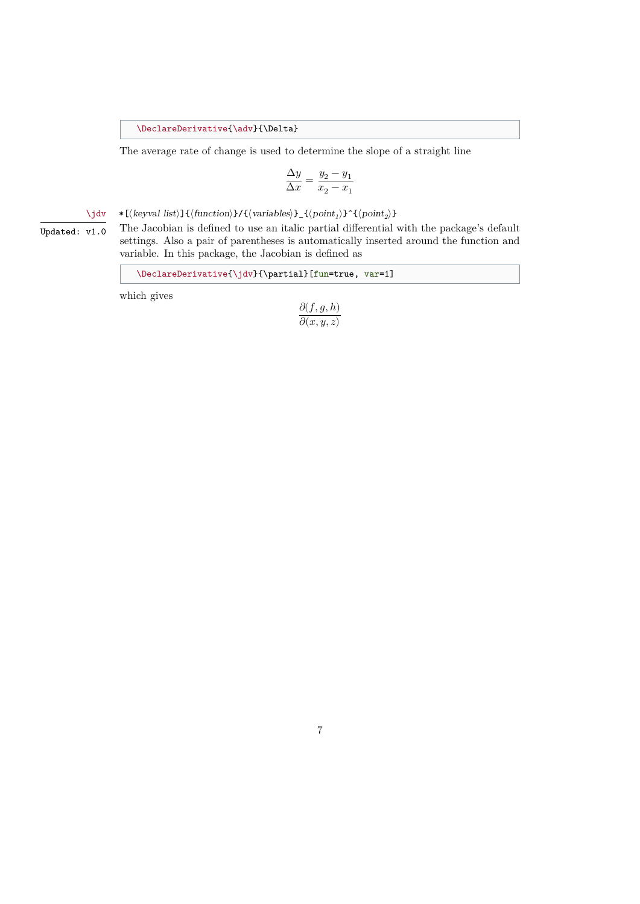<span id="page-6-0"></span>\DeclareDerivative{\adv}{\Delta}

The average rate of change is used to determine the slope of a straight line

$$
\frac{\Delta y}{\Delta x} = \frac{y_2 - y_1}{x_2 - x_1}
$$

\jdv  $\ast$ [ $\langle \text{keyval list} \rangle$ ]{ $\langle \text{function} \rangle$ }/ $\{ \langle \text{variable} \rangle \}$ \_ $\{ \langle \text{point}_1 \rangle \}$   $\{ \langle \text{point}_2 \rangle \}$ 

 $\overline{U_{\text{pdated}: V1.0}}$  The Jacobian is defined to use an italic partial differential with the package's default settings. Also a pair of parentheses is automatically inserted around the function and variable. In this package, the Jacobian is defined as

 $\label{thm:main} $$ \DeclareDerivative{\jdv}={\partial} [fun=true, var=1]$$$ 

which gives

$$
\frac{\partial(f,g,h)}{\partial(x,y,z)}
$$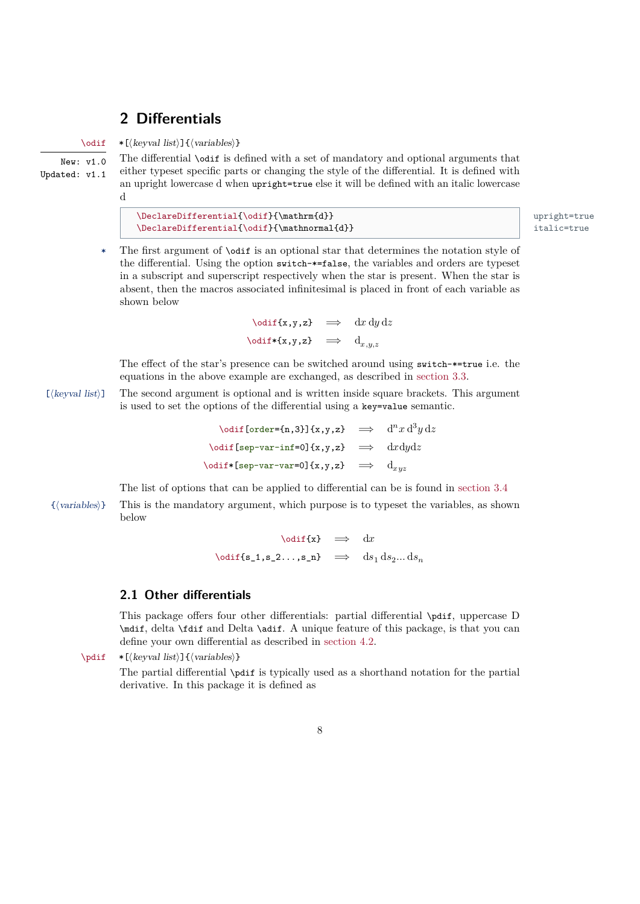## <span id="page-7-2"></span><span id="page-7-0"></span>**2 Differentials**

\odif \*[⟨keyval list⟩]{⟨variables⟩}

New: v1.0 Updated: v1.1 The differential \odif is defined with a set of mandatory and optional arguments that either typeset specific parts or changing the style of the differential. It is defined with an upright lowercase d when upright=true else it will be defined with an italic lowercase d

\DeclareDifferential{\odif}{\mathrm{d}} upright=true \DeclareDifferential{\odif}{\mathnormal{d}} italic=true

\* The first argument of \odif is an optional star that determines the notation style of the differential. Using the option switch-\*=false, the variables and orders are typeset in a subscript and superscript respectively when the star is present. When the star is absent, then the macros associated infinitesimal is placed in front of each variable as shown below

> $\delta$  \odif{x,y,z}  $\implies$  dx dy dz  $\text{led} \leftarrow \text{d}_{x,y,z}$

The effect of the star's presence can be switched around using switch-\*=true i.e. the equations in the above example are exchanged, as described in [section 3.3.](#page-10-1)

[ $\langle \text{keyval list} \rangle$ ] The second argument is optional and is written inside square brackets. This argument is used to set the options of the differential using a key=value semantic.

> $\delta$  \odif[order={n,3}]{x,y,z}  $\implies$   $d^n x d^3 y dz$  $\text{odd}$ [sep-var-inf=0]{x,y,z}  $\implies$  dxdydz  $\text{odd}f*[sep-var-var=0]{x,y,z} \implies d_{xyz}$

The list of options that can be applied to differential can be is found in [section 3.4](#page-17-0)

{⟨variables⟩} This is the mandatory argument, which purpose is to typeset the variables, as shown below

$$
\begin{array}{rcl} \backslash \text{odif}\{x\} & \Rightarrow & dx\\ \\ \backslash \text{odif}\{s\_1,s\_2\ldots,s\_n\} & \Rightarrow & ds_1\,ds_2\ldots ds_n \end{array}
$$

## <span id="page-7-1"></span>**2.1 Other differentials**

This package offers four other differentials: partial differential \pdif, uppercase D \mdif, delta \fdif and Delta \adif. A unique feature of this package, is that you can define your own differential as described in [section 4.2.](#page-21-2)

\pdif \*[⟨keyval list⟩]{⟨variables⟩}

The partial differential \pdif is typically used as a shorthand notation for the partial derivative. In this package it is defined as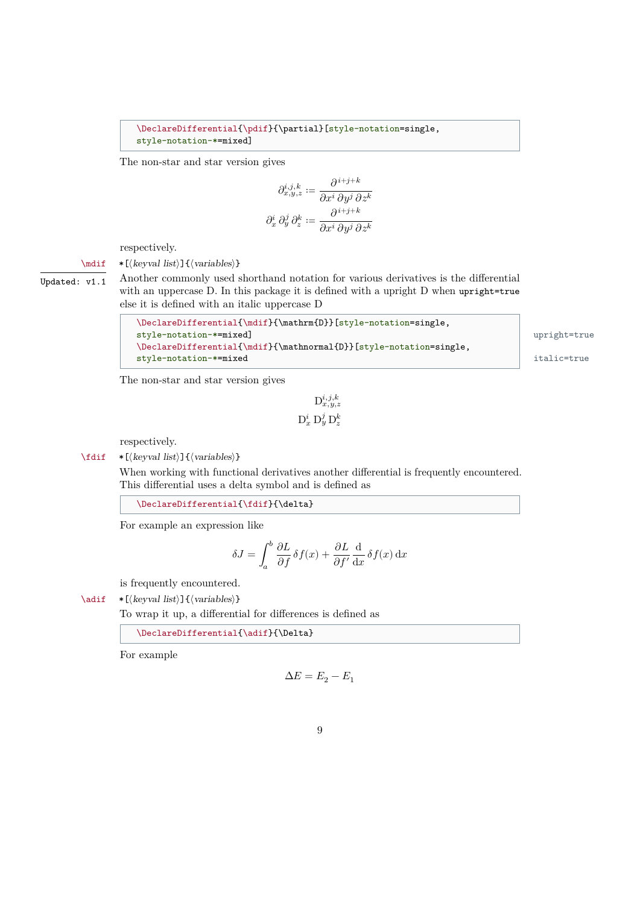#### <span id="page-8-0"></span>\DeclareDifferential{\pdif}{\partial}[style-notation=single, style-notation-\*=mixed]

The non-star and star version gives

$$
\partial_{x,y,z}^{i,j,k} := \frac{\partial^{i+j+k}}{\partial x^i \partial y^j \partial z^k}
$$

$$
\partial_x^i \partial_y^j \partial_z^k := \frac{\partial^{i+j+k}}{\partial x^i \partial y^j \partial z^k}
$$

respectively.

## \mdif \*[⟨keyval list⟩]{⟨variables⟩}

Updated:  $v1.1$  Another commonly used shorthand notation for various derivatives is the differential with an uppercase D. In this package it is defined with a upright D when upright=true else it is defined with an italic uppercase D

```
\DeclareDifferential{\mdif}{\mathrm{D}}[style-notation=single,
style-notation-*=mixed] upright=true
\DeclareDifferential{\mdif}{\mathnormal{D}}[style-notation=single,
style-notation-*=mixed italic=true
```
The non-star and star version gives

$$
\mathbf{D}_{x,y,z}^{i,j,k}
$$
  

$$
\mathbf{D}_x^i \mathbf{D}_y^j \mathbf{D}_z^k
$$

respectively.

\fdif \*[⟨keyval list⟩]{⟨variables⟩}

When working with functional derivatives another differential is frequently encountered. This differential uses a delta symbol and is defined as

\DeclareDifferential{\fdif}{\delta}

For example an expression like

$$
\delta J = \int_{a}^{b} \frac{\partial L}{\partial f} \delta f(x) + \frac{\partial L}{\partial f'} \frac{\mathrm{d}}{\mathrm{d}x} \delta f(x) \, \mathrm{d}x
$$

is frequently encountered.

\adif \*[⟨keyval list⟩]{⟨variables⟩}

To wrap it up, a differential for differences is defined as

\DeclareDifferential{\adif}{\Delta}

For example

$$
\Delta E = E_2 - E_1
$$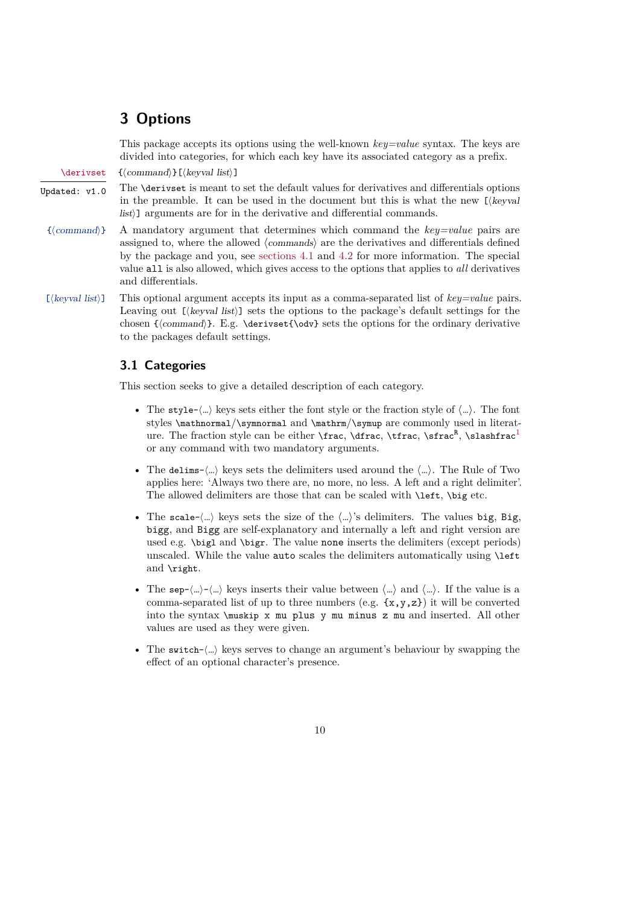## <span id="page-9-2"></span><span id="page-9-0"></span>**3 Options**

This package accepts its options using the well-known *key=value* syntax. The keys are divided into categories, for which each key have its associated category as a prefix.

\derivset {⟨command⟩}[⟨keyval list⟩]

- $\overline{U_{\text{pdated: v1.0}}}$  The \derivset is meant to set the default values for derivatives and differentials options in the preamble. It can be used in the document but this is what the new [⟨keyval list)] arguments are for in the derivative and differential commands.
- {⟨command⟩} A mandatory argument that determines which command the *key=value* pairs are assigned to, where the allowed ⟨commands⟩ are the derivatives and differentials defined by the package and you, see [sections 4.1](#page-21-1) and [4.2](#page-21-2) for more information. The special value all is also allowed, which gives access to the options that applies to *all* derivatives and differentials.
- [⟨keyval list⟩] This optional argument accepts its input as a comma-separated list of *key=value* pairs. Leaving out  $[\langle \text{keyval list} \rangle]$  sets the options to the package's default settings for the chosen { $\langle \cdot \rangle$ }. E.g.  $\derivset{\odot}$  sets the options for the ordinary derivative to the packages default settings.

## <span id="page-9-1"></span>**3.1 Categories**

This section seeks to give a detailed description of each category.

- The style- $\langle ... \rangle$  keys sets either the font style or the fraction style of  $\langle ... \rangle$ . The font styles \mathnormal/\symnormal and \mathrm/\symup are commonly used in literature. The fraction style can be either **\frac, \dfrac, \tfrac, \sfrac<sup>R</sup>, \slashfrac<sup>[1](#page-4-0)</sup>** or any command with two mandatory arguments.
- The delims- $\langle ... \rangle$  keys sets the delimiters used around the  $\langle ... \rangle$ . The Rule of Two applies here: 'Always two there are, no more, no less. A left and a right delimiter'. The allowed delimiters are those that can be scaled with \left, \big etc.
- The scale- $\langle ... \rangle$  keys sets the size of the  $\langle ... \rangle$ 's delimiters. The values big, Big, bigg, and Bigg are self-explanatory and internally a left and right version are used e.g. \bigl and \bigr. The value none inserts the delimiters (except periods) unscaled. While the value auto scales the delimiters automatically using **\left** and \right.
- The sep- $\langle ... \rangle$ - $\langle ... \rangle$  keys inserts their value between  $\langle ... \rangle$  and  $\langle ... \rangle$ . If the value is a comma-separated list of up to three numbers (e.g.  $\{x,y,z\}$ ) it will be converted into the syntax \muskip x mu plus y mu minus z mu and inserted. All other values are used as they were given.
- The switch- $\langle ... \rangle$  keys serves to change an argument's behaviour by swapping the effect of an optional character's presence.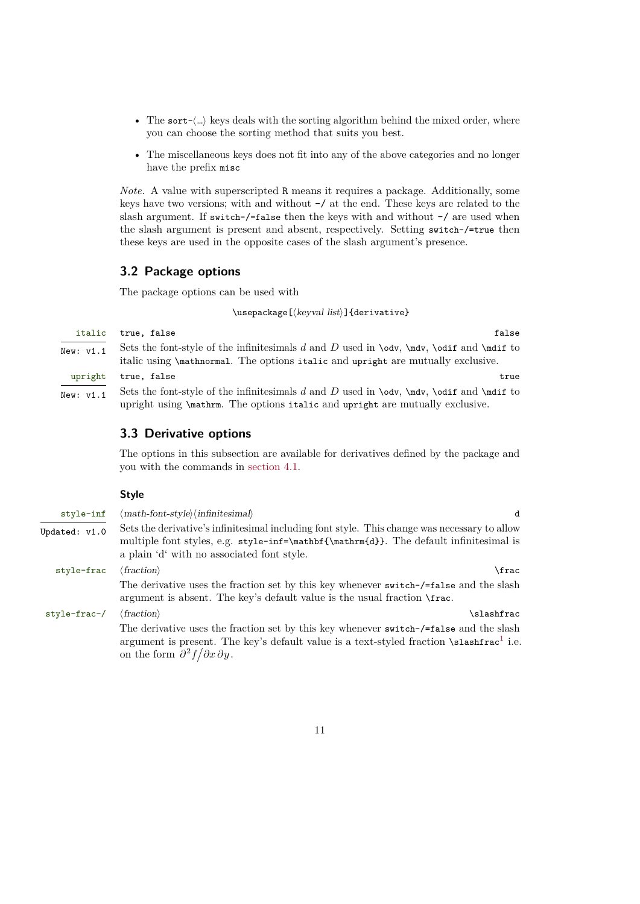- <span id="page-10-2"></span>• The sort- $\langle ... \rangle$  keys deals with the sorting algorithm behind the mixed order, where you can choose the sorting method that suits you best.
- The miscellaneous keys does not fit into any of the above categories and no longer have the prefix misc

*Note.* A value with superscripted R means it requires a package. Additionally, some keys have two versions; with and without -/ at the end. These keys are related to the slash argument. If switch-/=false then the keys with and without -/ are used when the slash argument is present and absent, respectively. Setting switch-/=true then these keys are used in the opposite cases of the slash argument's presence.

## <span id="page-10-0"></span>**3.2 Package options**

The package options can be used with

\usepackage[⟨keyval list⟩]{derivative}

italic true, false false

- 
- New:  $v1.1$  Sets the font-style of the infinitesimals d and D used in \odv, \mdv, \odif and \mdif to italic using \mathnormal. The options italic and upright are mutually exclusive.
- upright true, false true New:  $v1.1$  Sets the font-style of the infinitesimals d and D used in \odv, \mdv, \odif and \mdif to upright using \mathrm. The options italic and upright are mutually exclusive.

## <span id="page-10-1"></span>**3.3 Derivative options**

The options in this subsection are available for derivatives defined by the package and you with the commands in [section 4.1.](#page-21-1)

## **Style**

| style-inf                 | $\langle \text{math-font-style} \rangle$ (infinitesimal)                                                                                                                                                                                                       | d |
|---------------------------|----------------------------------------------------------------------------------------------------------------------------------------------------------------------------------------------------------------------------------------------------------------|---|
| Updated: v1.0             | Sets the derivative's infinitesimal including font style. This change was necessary to allow<br>multiple font styles, e.g. style-inf=\mathbf{\mathrm{d}}. The default infinitesimal is<br>a plain 'd' with no associated font style.                           |   |
| style-frac                | $\langle fraction \rangle$<br>\frac                                                                                                                                                                                                                            |   |
|                           | The derivative uses the fraction set by this key whenever switch-/=false and the slash<br>argument is absent. The key's default value is the usual fraction \frac.                                                                                             |   |
| $style-frac{-}{\sqrt{2}}$ | $\langle fraction \rangle$<br>slashfrac\                                                                                                                                                                                                                       |   |
|                           | The derivative uses the fraction set by this key whenever switch-/=false and the slash<br>argument is present. The key's default value is a text-styled fraction $\s$ lashfrac <sup>1</sup> i.e.<br>on the form $\frac{\partial^2 f}{\partial x \partial y}$ . |   |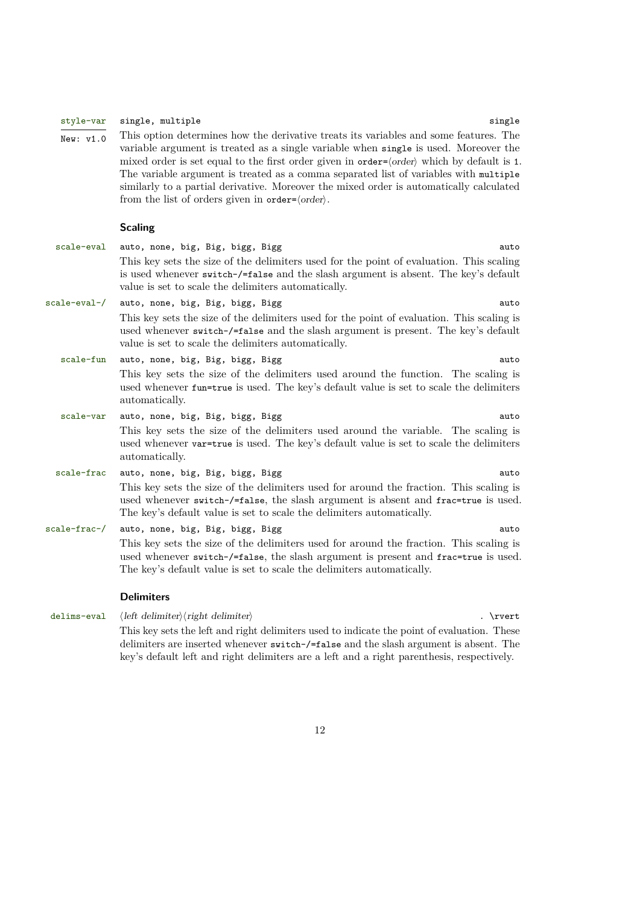#### <span id="page-11-0"></span>style-var single, multiple single single single single single single single

 $\overline{\text{New: } v1.0}$  This option determines how the derivative treats its variables and some features. The variable argument is treated as a single variable when single is used. Moreover the mixed order is set equal to the first order given in order= $\langle \text{order} \rangle$  which by default is 1. The variable argument is treated as a comma separated list of variables with multiple similarly to a partial derivative. Moreover the mixed order is automatically calculated from the list of orders given in order= $\langle \text{order} \rangle$ .

#### **Scaling**

| auto | auto, none, big, Big, bigg, Bigg                                                                                                                                                                                                                     | scale-eval   |
|------|------------------------------------------------------------------------------------------------------------------------------------------------------------------------------------------------------------------------------------------------------|--------------|
|      | This key sets the size of the delimiters used for the point of evaluation. This scaling<br>is used whenever switch-/=false and the slash argument is absent. The key's default<br>value is set to scale the delimiters automatically.                |              |
| auto | auto, none, big, Big, bigg, Bigg                                                                                                                                                                                                                     | scale-eval-/ |
|      | This key sets the size of the delimiters used for the point of evaluation. This scaling is<br>used whenever switch-/=false and the slash argument is present. The key's default<br>value is set to scale the delimiters automatically.               |              |
| auto | auto, none, big, Big, bigg, Bigg                                                                                                                                                                                                                     | scale-fun    |
|      | This key sets the size of the delimiters used around the function. The scaling is<br>used whenever fun=true is used. The key's default value is set to scale the delimiters<br>automatically.                                                        |              |
| auto | auto, none, big, Big, bigg, Bigg                                                                                                                                                                                                                     | scale-var    |
|      | This key sets the size of the delimiters used around the variable. The scaling is<br>used whenever var-true is used. The key's default value is set to scale the delimiters<br>automatically.                                                        |              |
| auto | auto, none, big, Big, bigg, Bigg                                                                                                                                                                                                                     | scale-frac   |
|      | This key sets the size of the delimiters used for around the fraction. This scaling is<br>used whenever switch-/=false, the slash argument is absent and frac=true is used.<br>The key's default value is set to scale the delimiters automatically. |              |
| auto | auto, none, big, Big, bigg, Bigg                                                                                                                                                                                                                     | scale-frac-/ |
|      | This key sets the size of the delimiters used for around the fraction. This scaling is                                                                                                                                                               |              |
|      | used whenever switch-/=false, the slash argument is present and frac=true is used.<br>The key's default value is set to scale the delimiters automatically.                                                                                          |              |

#### **Delimiters**

delims-eval  $\left\langle\right\rangle$  /  $\left\langle\right\rangle$  /  $\left\langle\right\rangle$  /  $\left\langle\right\rangle$  .  $\left\langle\right\rangle$  .  $\left\langle\right\rangle$  .  $\left\langle\right\rangle$ This key sets the left and right delimiters used to indicate the point of evaluation. These delimiters are inserted whenever switch-/=false and the slash argument is absent. The key's default left and right delimiters are a left and a right parenthesis, respectively.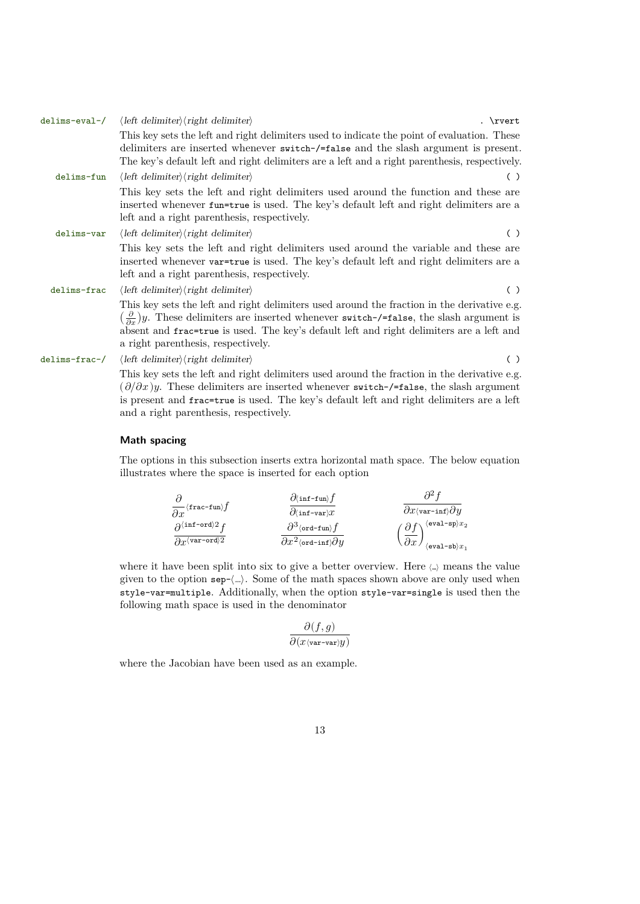<span id="page-12-0"></span>

| delims-eval-/ | $\langle$ left delimiter $\rangle$ $\langle$ right delimiter $\rangle$<br>. \rvert                                                                                                                                                                                                                                                                          |  |
|---------------|-------------------------------------------------------------------------------------------------------------------------------------------------------------------------------------------------------------------------------------------------------------------------------------------------------------------------------------------------------------|--|
|               | This key sets the left and right delimiters used to indicate the point of evaluation. These<br>delimiters are inserted whenever switch-/=false and the slash argument is present.                                                                                                                                                                           |  |
|               | The key's default left and right delimiters are a left and a right parenthesis, respectively.                                                                                                                                                                                                                                                               |  |
| delims-fun    | $\langle$ left delimiter $\rangle$ \right delimiter $\rangle$<br>( )                                                                                                                                                                                                                                                                                        |  |
|               | This key sets the left and right delimiters used around the function and these are<br>inserted whenever fun=true is used. The key's default left and right delimiters are a<br>left and a right parenthesis, respectively.                                                                                                                                  |  |
| delims-var    | $\langle$ left delimiter $\rangle$ $\langle$ right delimiter $\rangle$<br>( )                                                                                                                                                                                                                                                                               |  |
|               | This key sets the left and right delimiters used around the variable and these are<br>inserted whenever var-true is used. The key's default left and right delimiters are a<br>left and a right parenthesis, respectively.                                                                                                                                  |  |
| delims-frac   | $\langle$ left delimiter $\rangle$ $\langle$ right delimiter $\rangle$<br>( )                                                                                                                                                                                                                                                                               |  |
|               | This key sets the left and right delimiters used around the fraction in the derivative e.g.<br>$\left(\frac{\partial}{\partial x}\right)y$ . These delimiters are inserted whenever switch-/=false, the slash argument is<br>absent and frac=true is used. The key's default left and right delimiters are a left and<br>a right parenthesis, respectively. |  |
| delims-frac-/ | $\langle left \, delimiter \rangle \langle right \, delimiter \rangle$<br>( )                                                                                                                                                                                                                                                                               |  |
|               | This key sets the left and right delimiters used around the fraction in the derivative e.g.<br>$(\partial/\partial x)y$ . These delimiters are inserted whenever switch-/=false, the slash argument<br>is present and frac=true is used. The key's default left and right delimiters are a left<br>and a right parenthesis, respectively.                   |  |

## **Math spacing**

The options in this subsection inserts extra horizontal math space. The below equation illustrates where the space is inserted for each option

|                                                 | $\partial$ (inf-fun) f                        |                                                                |
|-------------------------------------------------|-----------------------------------------------|----------------------------------------------------------------|
| $\frac{\partial}{\partial x}$ (frac-fun) $f$    | $\partial \langle \texttt{inf-var} \rangle x$ | $\partial x$ (var-inf) $\partial y$                            |
| $\partial^{\langle \text{inf-ord} \rangle 2} f$ | $\partial^3$ (ord-fun) $f$                    | $\langle \verb eval-sp \rangle x_2$                            |
| $\partial x$ (var-ord)2                         | $\partial x^2$ (ord-inf) $\partial y$         | $\overline{\partial x}$<br>$\langle \verb eval=sb \rangle x_1$ |

where it have been split into six to give a better overview. Here  $\langle \ldots \rangle$  means the value given to the option sep-⟨…⟩. Some of the math spaces shown above are only used when style-var=multiple. Additionally, when the option style-var=single is used then the following math space is used in the denominator

$$
\frac{\partial(f,g)}{\partial(x \langle \texttt{var-var} \rangle y)}
$$

where the Jacobian have been used as an example.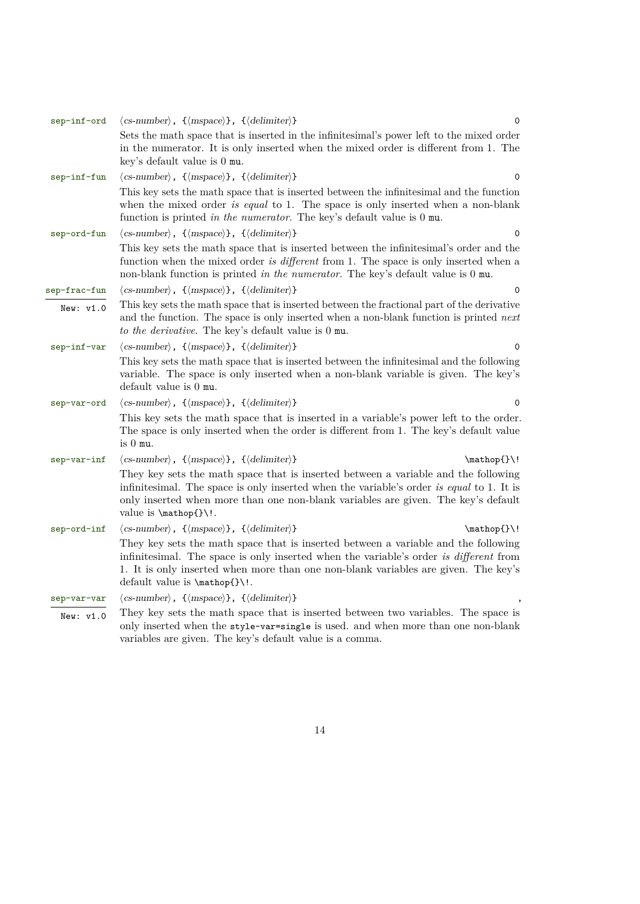<span id="page-13-0"></span>

| sep-inf-ord  | $\langle$ cs-number $\rangle$ , $\{\langle mspace\rangle\}$ , $\{\langle\text{delimiter}\rangle\}$<br>0                                                                                                                                                                                            |
|--------------|----------------------------------------------------------------------------------------------------------------------------------------------------------------------------------------------------------------------------------------------------------------------------------------------------|
|              | Sets the math space that is inserted in the infinitesimal's power left to the mixed order<br>in the numerator. It is only inserted when the mixed order is different from 1. The<br>key's default value is 0 mu.                                                                                   |
| sep-inf-fun  | $\langle$ cs-number $\rangle$ , $\{\langle mspace\rangle\}$ , $\{\langle\text{delimiter}\rangle\}$<br>$\mathbf 0$                                                                                                                                                                                  |
|              | This key sets the math space that is inserted between the infinitesimal and the function<br>when the mixed order is equal to 1. The space is only inserted when a non-blank<br>function is printed in the numerator. The key's default value is $0 \text{ mu}$ .                                   |
| sep-ord-fun  | $\langle$ cs-number $\rangle$ , $\{\langle mspace\rangle\}$ , $\{\langle delimiter\rangle\}$<br>0                                                                                                                                                                                                  |
|              | This key sets the math space that is inserted between the infinitesimal's order and the<br>function when the mixed order is different from 1. The space is only inserted when a<br>non-blank function is printed in the numerator. The key's default value is 0 mu.                                |
| sep-frac-fun | $\langle$ cs-number $\rangle$ , $\{\langle mspace\rangle\}$ , $\{\langle\text{delimiter}\rangle\}$<br>0                                                                                                                                                                                            |
| New: v1.0    | This key sets the math space that is inserted between the fractional part of the derivative<br>and the function. The space is only inserted when a non-blank function is printed next<br>to the derivative. The key's default value is 0 mu.                                                       |
| sep-inf-var  | $\langle$ cs-number $\rangle$ , $\{\langle mspace\rangle\}$ , $\{\langle\text{delimiter}\rangle\}$<br>0                                                                                                                                                                                            |
|              | This key sets the math space that is inserted between the infinitesimal and the following<br>variable. The space is only inserted when a non-blank variable is given. The key's<br>default value is 0 mu.                                                                                          |
| sep-var-ord  | $\langle$ cs-number $\rangle$ , $\{\langle mspace\rangle\}$ , $\{\langle delimiter\rangle\}$<br>0                                                                                                                                                                                                  |
|              | This key sets the math space that is inserted in a variable's power left to the order.<br>The space is only inserted when the order is different from 1. The key's default value<br>is $0 \mu$ .                                                                                                   |
| sep-var-inf  | $\langle$ cs-number $\rangle$ , $\{\langle mspace\rangle\}$ , $\{\langle\text{delimiter}\rangle\}$<br>$\mathbf{\}$                                                                                                                                                                                 |
|              | They key sets the math space that is inserted between a variable and the following<br>infinitesimal. The space is only inserted when the variable's order is equal to 1. It is<br>only inserted when more than one non-blank variables are given. The key's default<br>value is \mathop{}\!.       |
| sep-ord-inf  | $\langle$ cs-number $\rangle$ , $\{\langle mspace\rangle\}$ , $\{\langle delimiter\rangle\}$<br>$\mathbf{\}$                                                                                                                                                                                       |
|              | They key sets the math space that is inserted between a variable and the following<br>infinitesimal. The space is only inserted when the variable's order is different from<br>1. It is only inserted when more than one non-blank variables are given. The key's<br>default value is \mathop{}\!. |
| sep-var-var  | $\langle$ cs-number $\rangle$ , $\{\langle mspace\rangle\}$ , $\{\langle delimiter\rangle\}$                                                                                                                                                                                                       |
| New: v1.0    | They key sets the math space that is inserted between two variables. The space is<br>only inserted when the style-var=single is used. and when more than one non-blank<br>variables are given. The key's default value is a comma.                                                                 |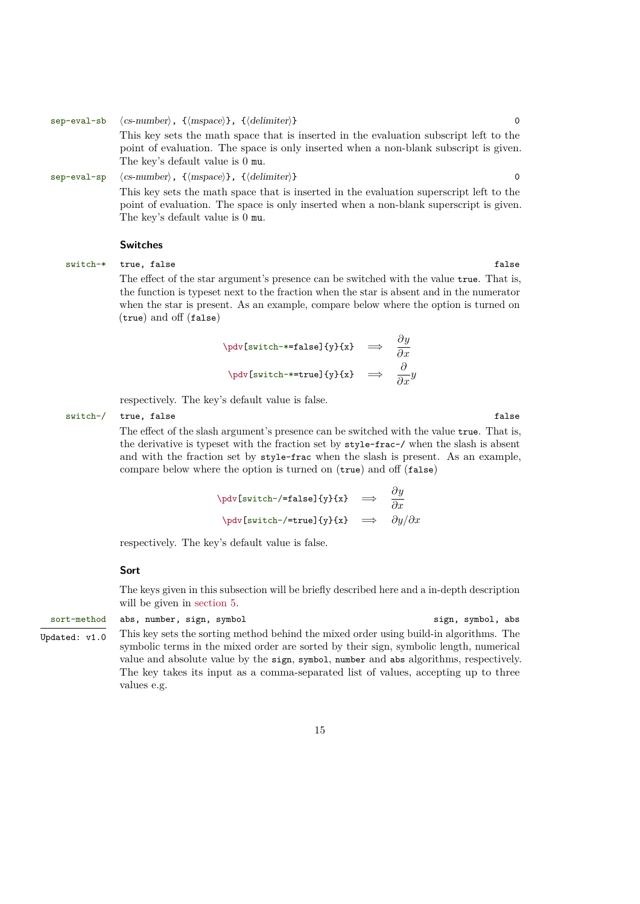<span id="page-14-0"></span>sep-eval-sb  $\langle$  cs-number $\rangle$ ,  $\{$  (mspace) },  $\{$  (delimiter) } 0 This key sets the math space that is inserted in the evaluation subscript left to the point of evaluation. The space is only inserted when a non-blank subscript is given. The key's default value is 0 mu. sep-eval-sp  $\langle$ cs-number $\rangle$ ,  $\{$  (mspace)},  $\{$  (delimiter)} 0

This key sets the math space that is inserted in the evaluation superscript left to the point of evaluation. The space is only inserted when a non-blank superscript is given. The key's default value is 0 mu.

#### **Switches**

switch-\* true, false false false false false false false false false false false false false false false false false false false false false false false false false false false false false false false false false false fal

The effect of the star argument's presence can be switched with the value true. That is, the function is typeset next to the fraction when the star is absent and in the numerator when the star is present. As an example, compare below where the option is turned on (true) and off (false)

$$
\begin{array}{rcl}\n\text{poly} & \text{switch} \rightarrow = \text{false} \{y\} \{x\} & \implies & \frac{\partial}{\partial x} \\
\text{poly} & \text{switch} \rightarrow = \text{true} \{y\} \{x\} & \implies & \frac{\partial}{\partial x}y\n\end{array}
$$

respectively. The key's default value is false.

switch-/ true, false false false false false false factors  $f$ 

The effect of the slash argument's presence can be switched with the value true. That is, the derivative is typeset with the fraction set by style-frac-/ when the slash is absent and with the fraction set by style-frac when the slash is present. As an example, compare below where the option is turned on (true) and off (false)

$$
\dot{\text{switch-}}\text{false}f\{y\}f\{x\} \implies \frac{\partial y}{\partial x}
$$
\n
$$
\n\dot{\text{switch-}}\text{true}f\{y\}f\{x\} \implies \frac{\partial y}{\partial x}
$$

respectively. The key's default value is false.

#### **Sort**

The keys given in this subsection will be briefly described here and a in-depth description will be given in [section 5.](#page-23-0)

## sort-method abs, number, sign, symbol sign, symbol, abs

Updated: v1.0 This key sets the sorting method behind the mixed order using build-in algorithms. The symbolic terms in the mixed order are sorted by their sign, symbolic length, numerical value and absolute value by the sign, symbol, number and abs algorithms, respectively. The key takes its input as a comma-separated list of values, accepting up to three values e.g.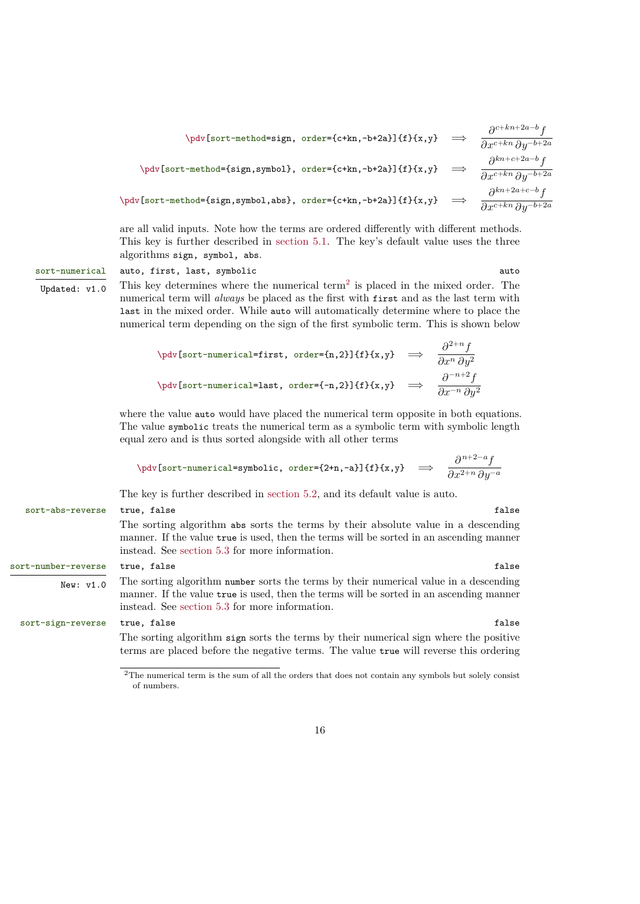<span id="page-15-1"></span>
$$
\begin{array}{rcl}\n\text{by[sort-method=sign, order=(c+kn,-b+2a)]{f}x,y} & \Rightarrow & \frac{\partial^{c+kn+2a-b}f}{\partial x^{c+kn} \partial y^{-b+2a}} \\
\text{by[sort-method=[sign,symbol], order=[c+kn,-b+2a)]{f}x,y} & \Rightarrow & \frac{\partial^{kn+c+2a-b}f}{\partial x^{c+kn} \partial y^{-b+2a}} \\
\text{by[sort-method=[sign,symbol],abs}, order=[c+kn,-b+2a)]{f}x,y} & \Rightarrow & \frac{\partial^{kn+2a+c-b}f}{\partial x^{c+kn} \partial y^{-b+2a}}\n\end{array}
$$

are all valid inputs. Note how the terms are ordered differently with different methods. This key is further described in [section 5.1.](#page-23-1) The key's default value uses the three algorithms sign, symbol, abs.

#### sort-numerical auto, first, last, symbolic auto auto auto

Updated:  $v1.0$  This key determines where the numerical term<sup>[2](#page-15-0)</sup> is placed in the mixed order. The numerical term will *always* be placed as the first with first and as the last term with last in the mixed order. While auto will automatically determine where to place the numerical term depending on the sign of the first symbolic term. This is shown below

$$
\dot{\text{sort-numberical}=\text{in}, \text{order}=\text{in}, 2}}{f} \{\mathbf{x}, \mathbf{y}\} \implies \frac{\partial^{2+n} f}{\partial x^n \partial y^2}
$$
\n
$$
\n\dot{\text{sort-numberical}=\text{last}, \text{order}=\{-n, 2}\}{f} \{\mathbf{x}, \mathbf{y}\} \implies \frac{\partial^{-n+2} f}{\partial x^{-n} \partial y^2}
$$

where the value auto would have placed the numerical term opposite in both equations. The value symbolic treats the numerical term as a symbolic term with symbolic length equal zero and is thus sorted alongside with all other terms

$$
\begin{array}{rcl}\n\text{by} & [\text{sort-numberical=symbolic, order=&2+n,-a\}]{f} \\
\text{by} & \implies & \frac{\partial^{n+2-a} f}{\partial x^{2+n} \partial y^{-a}}\n\end{array}
$$

The key is further described in [section 5.2,](#page-24-0) and its default value is auto.

## sort-abs-reverse true, false false false false false false false false false false false false false false false false false false false false false false false false false false false false false false false false false f The sorting algorithm abs sorts the terms by their absolute value in a descending manner. If the value true is used, then the terms will be sorted in an ascending manner instead. See [section 5.3](#page-25-0) for more information.

New:  $v1.0$  The sorting algorithm number sorts the terms by their numerical value in a descending manner. If the value true is used, then the terms will be sorted in an ascending manner instead. See [section 5.3](#page-25-0) for more information.

#### sort-sign-reverse true, false false false false false false false false false false false false false false false false false false false false false false false false false false false false false false false false false

The sorting algorithm sign sorts the terms by their numerical sign where the positive terms are placed before the negative terms. The value true will reverse this ordering

## sort-number-reverse true, false false false false false false false false false false false false false false false false false false false false false false false false false false false false false false false false fals

<span id="page-15-0"></span><sup>&</sup>lt;sup>2</sup>The numerical term is the sum of all the orders that does not contain any symbols but solely consist of numbers.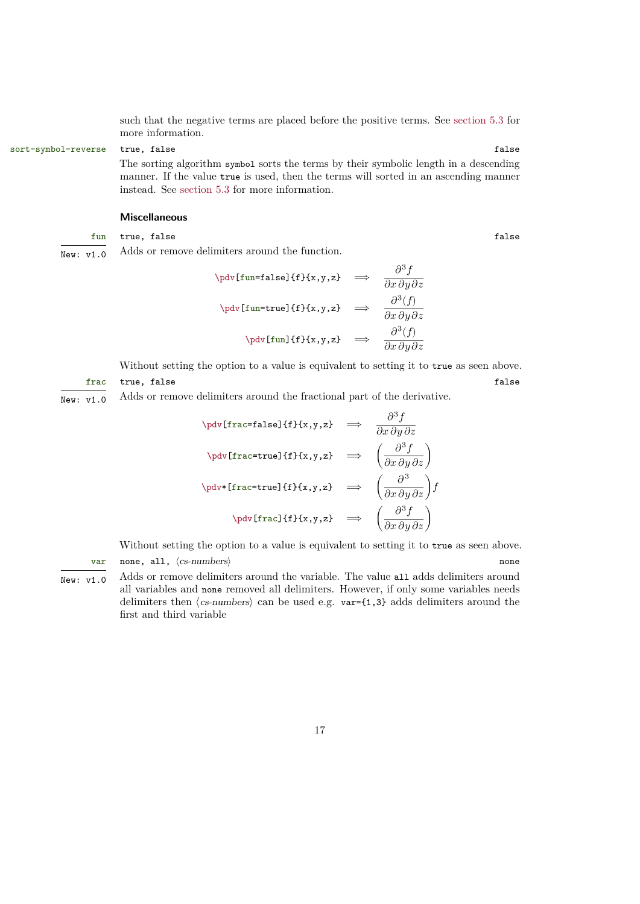<span id="page-16-0"></span>such that the negative terms are placed before the positive terms. See [section 5.3](#page-25-0) for more information.

sort-symbol-reverse true, false false false false false false false false false false false false false false false false false false false false false false false false false false false false false false false false fals

The sorting algorithm symbol sorts the terms by their symbolic length in a descending manner. If the value true is used, then the terms will sorted in an ascending manner instead. See [section 5.3](#page-25-0) for more information.

## **Miscellaneous**

#### fun true, false false false false false false false false false false false false false false false false false false false false false false false false false false false false false false false false false false false fa

 $\overline{\text{New: } v1.0}$  Adds or remove delimiters around the function.

$$
\phi[fun=\text{false}]{f}{x,y,z} \implies \frac{\partial^3 f}{\partial x \partial y \partial z}
$$
\n
$$
\n\phi[fun=\text{true}]{f}{x,y,z} \implies \frac{\partial^3 (f)}{\partial x \partial y \partial z}
$$
\n
$$
\n\phi[fun]{f}{x,y,z} \implies \frac{\partial^3 (f)}{\partial x \partial y \partial z}
$$

Without setting the option to a value is equivalent to setting it to true as seen above. frac true, false false false false false false false false false false false false false false false false false false false false false false false false false false false false false false false false false false false f

New:  $v1.0$  Adds or remove delimiters around the fractional part of the derivative.

$$
\phi[frac{false}{f}f_x,y,z] \implies \frac{\partial^3 f}{\partial x \partial y \partial z}
$$
\n
$$
\n\phi[frac{true}{f}f_x,y,z] \implies \left(\frac{\partial^3 f}{\partial x \partial y \partial z}\right)
$$
\n
$$
\n\phi[frac{true}{f}f_x,y,z] \implies \left(\frac{\partial^3 f}{\partial x \partial y \partial z}\right)f
$$
\n
$$
\n\phi[frac{ref}{f}f_x,y,z] \implies \left(\frac{\partial^3 f}{\partial x \partial y \partial z}\right)
$$

Without setting the option to a value is equivalent to setting it to true as seen above. var none, all,  $\langle cs\text{-numbers}\rangle$  none

 $\overline{\text{New: } v1.0}$  Adds or remove delimiters around the variable. The value all adds delimiters around all variables and none removed all delimiters. However, if only some variables needs delimiters then  $\langle$ cs-numbers $\rangle$  can be used e.g. var={1,3} adds delimiters around the first and third variable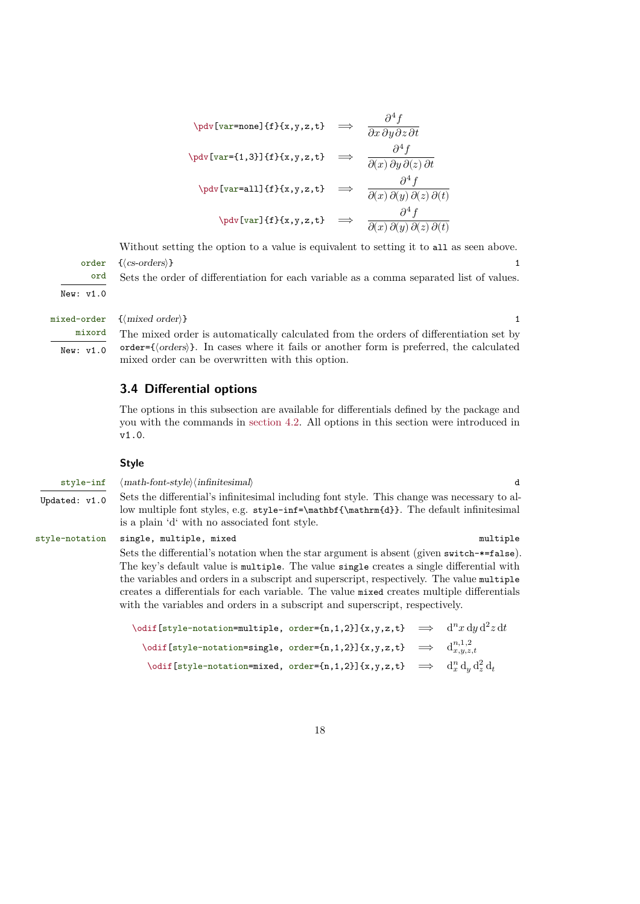<span id="page-17-1"></span>
$$
\begin{array}{rcl}\n\text{by[var=none]}{f}f(x,y,z,t) & \implies & \frac{\partial^4 f}{\partial x \partial y \partial z \partial t} \\
\text{by[var={1,3]}]{f}f(x,y,z,t) & \implies & \frac{\partial^4 f}{\partial(x) \partial y \partial(z) \partial t} \\
\text{by[var=all]}{f}f(x,y,z,t) & \implies & \frac{\partial^4 f}{\partial(x) \partial(y) \partial(z) \partial(t)} \\
\text{by[var]}{f}f(x,y,z,t) & \implies & \frac{\partial^4 f}{\partial(x) \partial(y) \partial(z) \partial(t)}\n\end{array}
$$

Without setting the option to a value is equivalent to setting it to all as seen above. order { $\langle$  cs-orders $\rangle$ } 1

Sets the order of differentiation for each variable as a comma separated list of values.

New: v1.0

ord

mixord

New: v1.0

## mixed-order  ${(mixed order)}$  1

The mixed order is automatically calculated from the orders of differentiation set by order={⟨orders⟩}. In cases where it fails or another form is preferred, the calculated mixed order can be overwritten with this option.

## <span id="page-17-0"></span>**3.4 Differential options**

The options in this subsection are available for differentials defined by the package and you with the commands in [section 4.2.](#page-21-2) All options in this section were introduced in v1.0.

### **Style**

style-inf  $\langle \text{math-font-style}\rangle \langle \text{infinitesimal}\rangle$  d Updated: v1.0 Sets the differential's infinitesimal including font style. This change was necessary to allow multiple font styles, e.g. style-inf=\mathbf{\mathrm{d}}. The default infinitesimal is a plain 'd' with no associated font style. style-notation single, multiple, mixed multiple multiple Sets the differential's notation when the star argument is absent (given switch-\*=false). The key's default value is multiple. The value single creates a single differential with the variables and orders in a subscript and superscript, respectively. The value multiple creates a differentials for each variable. The value mixed creates multiple differentials with the variables and orders in a subscript and superscript, respectively. \odif[style-notation=multiple, order={n,1,2}]{x,y,z,t}  $\implies$   $\mathrm{d}^nx\,\mathrm{d}y\,\mathrm{d}^2z\,\mathrm{d}t$ 

| $\setminus$ odif[style-notation=single, order={n,1,2}]{x,y,z,t} $\implies$          |  | $d_{x,y,z,t}^{n,1,2}$ |
|-------------------------------------------------------------------------------------|--|-----------------------|
| \odif [style-notation=mixed, order={n,1,2}]{x,y,z,t} $\implies d_x^n d_y d_z^2 d_t$ |  |                       |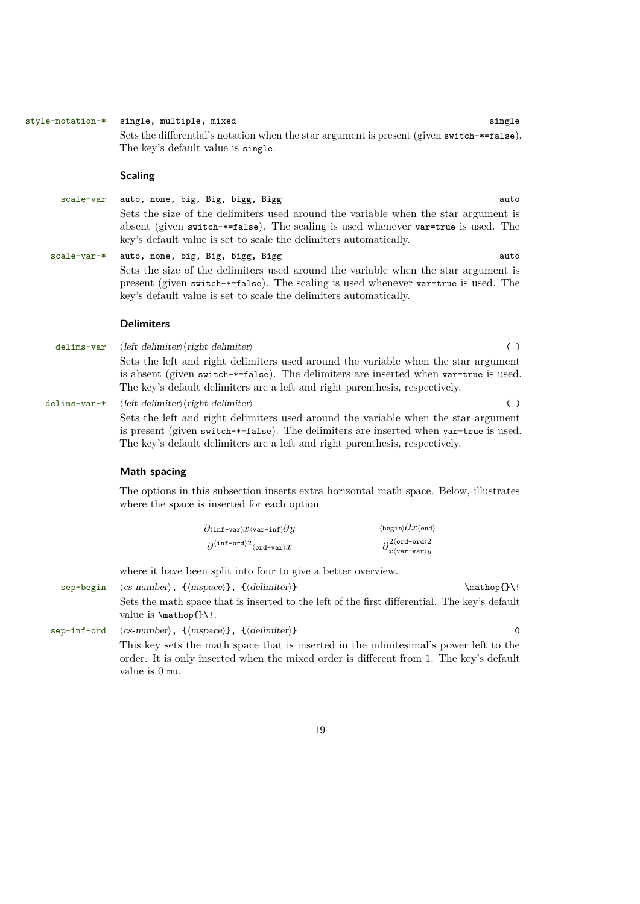#### style-notation-\* single, multiple, mixed single single

<span id="page-18-0"></span>Sets the differential's notation when the star argument is present (given switch-\*=false). The key's default value is single.

## **Scaling**

- scale-var auto, none, big, Big, bigg, Bigg auto auto auto Sets the size of the delimiters used around the variable when the star argument is absent (given switch-\*=false). The scaling is used whenever var=true is used. The key's default value is set to scale the delimiters automatically.
- scale-var-\* auto, none, big, Big, bigg, Bigg auto auto auto auto Sets the size of the delimiters used around the variable when the star argument is present (given switch-\*=false). The scaling is used whenever var=true is used. The key's default value is set to scale the delimiters automatically.

## **Delimiters**

delims-var  $\langle$ left delimiter $\rangle$ (right delimiter) ( ) Sets the left and right delimiters used around the variable when the star argument is absent (given switch-\*=false). The delimiters are inserted when var=true is used. The key's default delimiters are a left and right parenthesis, respectively.

delims-var-\*  $\langle$  *left delimiter* $\rangle$ *(right delimiter)* () Sets the left and right delimiters used around the variable when the star argument is present (given switch-\*=false). The delimiters are inserted when var=true is used. The key's default delimiters are a left and right parenthesis, respectively.

#### **Math spacing**

value is 0 mu.

The options in this subsection inserts extra horizontal math space. Below, illustrates where the space is inserted for each option

| $\partial \langle \texttt{inf-var} \rangle x \langle \texttt{var-int} \rangle \partial y$ | $\langle$ begin $\rangle \partial x \langle$ end $\rangle$                             |
|-------------------------------------------------------------------------------------------|----------------------------------------------------------------------------------------|
| $\partial^{\langle\texttt{inf-ord}\rangle 2}\langle\texttt{ord-var}\rangle x$             | $\partial_{x\langle \texttt{var-var} \rangle y}^{2\langle \texttt{ord-ord} \rangle 2}$ |

where it have been split into four to give a better overview.

sep-begin  $\langle$ cs-number $\rangle$ , { $\langle$ mspace}}, { $\langle$ delimiter}}  $\langle$ Sets the math space that is inserted to the left of the first differential. The key's default value is \mathop{}\!. sep-inf-ord  $\langle$ cs-number $\rangle$ , { $\langle$ mspace $\rangle$ }, { $\langle$ delimiter $\rangle$ } 0 This key sets the math space that is inserted in the infinitesimal's power left to the order. It is only inserted when the mixed order is different from 1. The key's default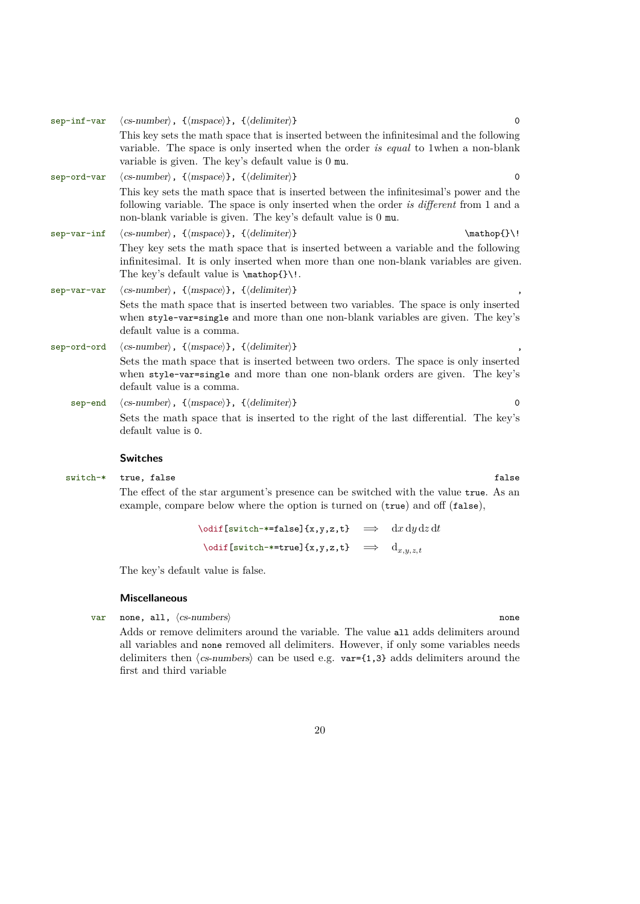<span id="page-19-0"></span>

| sep-inf-var | $\langle$ cs-number $\rangle$ , $\{\langle \text{mspace} \rangle\}$ , $\{\langle \text{delimiter} \rangle\}$<br>$\Omega$                                                                                                                            |
|-------------|-----------------------------------------------------------------------------------------------------------------------------------------------------------------------------------------------------------------------------------------------------|
|             | This key sets the math space that is inserted between the infinitesimal and the following<br>variable. The space is only inserted when the order is equal to 1 when a non-blank<br>variable is given. The key's default value is 0 mu.              |
| sep-ord-var | $\langle$ cs-number $\rangle$ , $\{\langle mspace\rangle\}$ , $\{\langle delimiter\rangle\}$<br>$\Omega$                                                                                                                                            |
|             | This key sets the math space that is inserted between the infinitesimal's power and the<br>following variable. The space is only inserted when the order is different from 1 and a<br>non-blank variable is given. The key's default value is 0 mu. |
| sep-var-inf | $\langle$ cs-number $\rangle$ , $\{\langle$ mspace $\rangle\}$ , $\{\langle$ delimiter $\rangle\}$<br>$\mathcal{})$                                                                                                                                 |
|             | They key sets the math space that is inserted between a variable and the following<br>infinitesimal. It is only inserted when more than one non-blank variables are given.<br>The key's default value is $\mathbb{}.\$                              |
| sep-var-var | $\langle$ cs-number $\rangle$ , $\{\langle mspace\rangle\}$ , $\{\langle delimiter\rangle\}$                                                                                                                                                        |
|             | Sets the math space that is inserted between two variables. The space is only inserted<br>when style-var-single and more than one non-blank variables are given. The key's<br>default value is a comma.                                             |
| sep-ord-ord | $\langle$ cs-number $\rangle$ , $\{\langle$ mspace $\rangle\}$ , $\{\langle$ delimiter $\rangle\}$                                                                                                                                                  |
|             | Sets the math space that is inserted between two orders. The space is only inserted<br>when style-var-single and more than one non-blank orders are given. The key's<br>default value is a comma.                                                   |
| sep-end     | $\langle$ cs-number $\rangle$ , $\{\langle mspace\rangle\}$ , $\{\langle delimiter\rangle\}$<br>$\Omega$                                                                                                                                            |
|             | Sets the math space that is inserted to the right of the last differential. The key's<br>default value is 0.                                                                                                                                        |

## **Switches**

switch-\* true, false false

The effect of the star argument's presence can be switched with the value true. As an example, compare below where the option is turned on (true) and off (false),

> $\delta$  \odif[switch-\*=false]{x,y,z,t}  $\implies$  dx dy dz dt  $\text{odd}$  [switch-\*=true]{x,y,z,t}  $\implies$   $\text{d}_{x,y,z,t}$

The key's default value is false.

#### **Miscellaneous**

var none, all,  $\langle$ cs-numbers $\rangle$ 

Adds or remove delimiters around the variable. The value all adds delimiters around all variables and none removed all delimiters. However, if only some variables needs delimiters then ⟨cs-numbers⟩ can be used e.g. var={1,3} adds delimiters around the first and third variable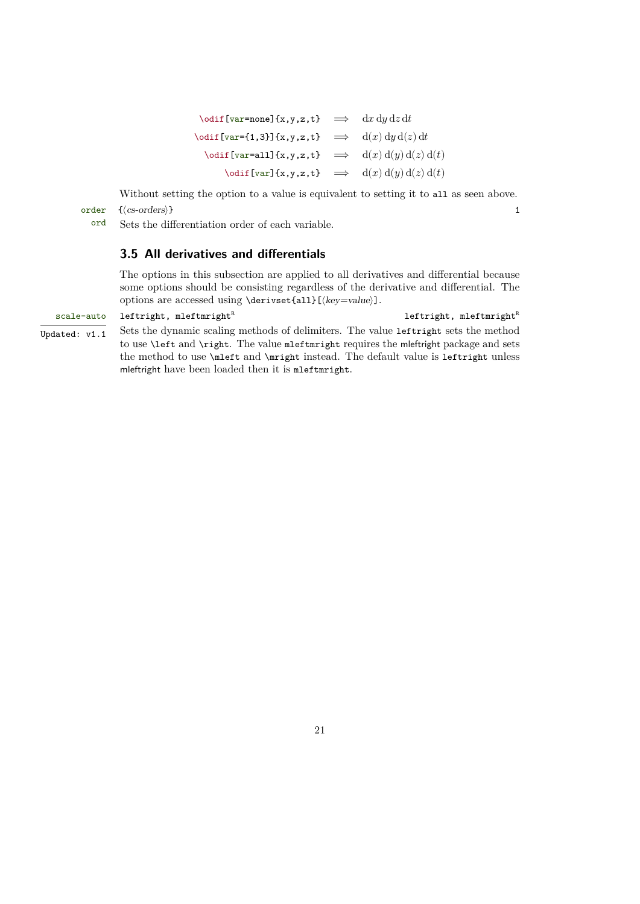<span id="page-20-1"></span> $\text{{{\char'13em} \verb"var=none]{x,y,z,t}} \quad\Longrightarrow\quad \mathrm{d} x\,\mathrm{d} y\,\mathrm{d} z\,\mathrm{d} t$  $\text{partial}[var = \{1,3\}]\{x,y,z,t\} \implies d(x) dy d(z) dt$  $\label{eq:3} \begin{array}{rcl} \text{Vodif}~[\mathtt{var=all}~\{\mathtt{x},\mathtt{y},\mathtt{z},\mathtt{t}\} & \implies & \mathrm{d}(x)~\mathrm{d}(y)~\mathrm{d}(z)~\mathrm{d}(t) \end{array}$  $\text{adj}\left[\text{var}\right]\{x,y,z,t\} \implies d(x) d(y) d(z) d(t)$ 

Without setting the option to a value is equivalent to setting it to all as seen above. order { $\langle$  cs-orders}} 1

ord Sets the differentiation order of each variable.

## <span id="page-20-0"></span>**3.5 All derivatives and differentials**

The options in this subsection are applied to all derivatives and differential because some options should be consisting regardless of the derivative and differential. The options are accessed using \derivset{all}[⟨key=value⟩].

## $scale = auto$  leftright, mleftmright<sup>R</sup>  $left$  leftright, mleftmright<sup>R</sup> Updated:  $v1.1$  Sets the dynamic scaling methods of delimiters. The value leftright sets the method to use \left and \right. The value mleftmright requires the mleftright package and sets the method to use \mleft and \mright instead. The default value is leftright unless mleftright have been loaded then it is mleftmright.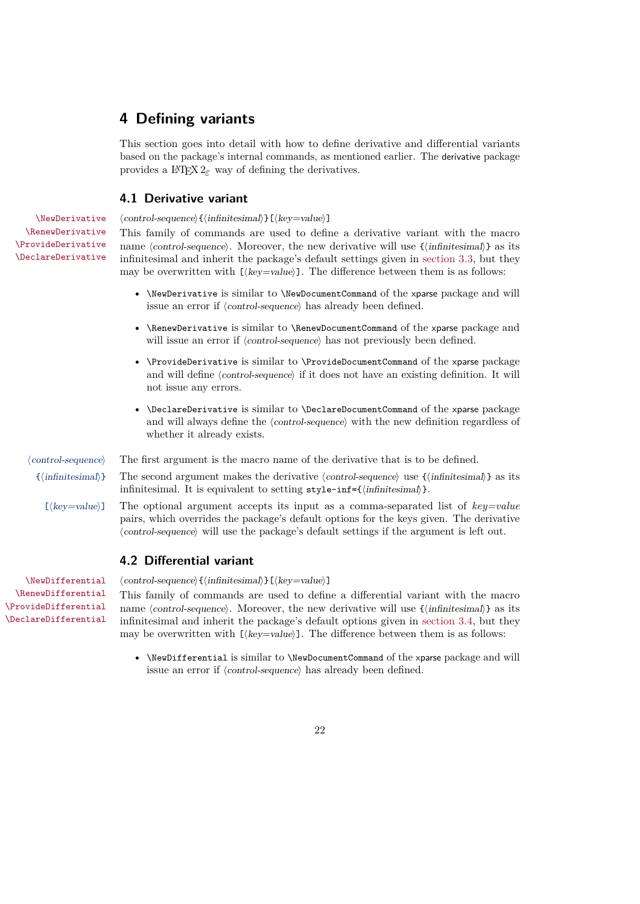## <span id="page-21-3"></span><span id="page-21-0"></span>**4 Defining variants**

This section goes into detail with how to define derivative and differential variants based on the package's internal commands, as mentioned earlier. The derivative package provides a IAT<sub>E</sub>X  $2_{\varepsilon}$  way of defining the derivatives.

## <span id="page-21-1"></span>**4.1 Derivative variant**

\NewDerivative ⟨control-sequence⟩{⟨infinitesimal⟩}[⟨key=value⟩]

This family of commands are used to define a derivative variant with the macro name  $\langle$  control-sequence $\rangle$ . Moreover, the new derivative will use  $\{\langle$ infinitesimal $\rangle\}$  as its infinitesimal and inherit the package's default settings given in [section 3.3,](#page-10-1) but they may be overwritten with  $[\langle key=value \rangle]$ . The difference between them is as follows:

- \NewDerivative is similar to \NewDocumentCommand of the xparse package and will issue an error if ⟨control-sequence⟩ has already been defined.
- \RenewDerivative is similar to \RenewDocumentCommand of the xparse package and will issue an error if  $\langle control\text{-}sequence \rangle$  has not previously been defined.
- \ProvideDerivative is similar to \ProvideDocumentCommand of the xparse package and will define  $\langle control\text{-}sequence\rangle$  if it does not have an existing definition. It will not issue any errors.
- \DeclareDerivative is similar to \DeclareDocumentCommand of the xparse package and will always define the  $\langle control\text{-}sequence\rangle$  with the new definition regardless of whether it already exists.

\RenewDerivative \ProvideDerivative \DeclareDerivative

- ⟨control-sequence⟩ The first argument is the macro name of the derivative that is to be defined.
	- {⟨infinitesimal⟩} The second argument makes the derivative ⟨control-sequence⟩ use {⟨infinitesimal⟩} as its infinitesimal. It is equivalent to setting style-inf={ $\{infinitesimal\}$ }.
		- [⟨key=value⟩] The optional argument accepts its input as a comma-separated list of *key=value* pairs, which overrides the package's default options for the keys given. The derivative ⟨control-sequence⟩ will use the package's default settings if the argument is left out.

## <span id="page-21-2"></span>**4.2 Differential variant**

\RenewDifferential \ProvideDifferential \DeclareDifferential

\NewDifferential ⟨control-sequence⟩{⟨infinitesimal⟩}[⟨key=value⟩]

This family of commands are used to define a differential variant with the macro name  $\langle control\text{-}sequence\rangle$ . Moreover, the new derivative will use  $\{\langle infinitesimal\rangle\}$  as its infinitesimal and inherit the package's default options given in [section 3.4,](#page-17-0) but they may be overwritten with  $[\langle key = value \rangle]$ . The difference between them is as follows:

• \NewDifferential is similar to \NewDocumentCommand of the xparse package and will issue an error if ⟨control-sequence⟩ has already been defined.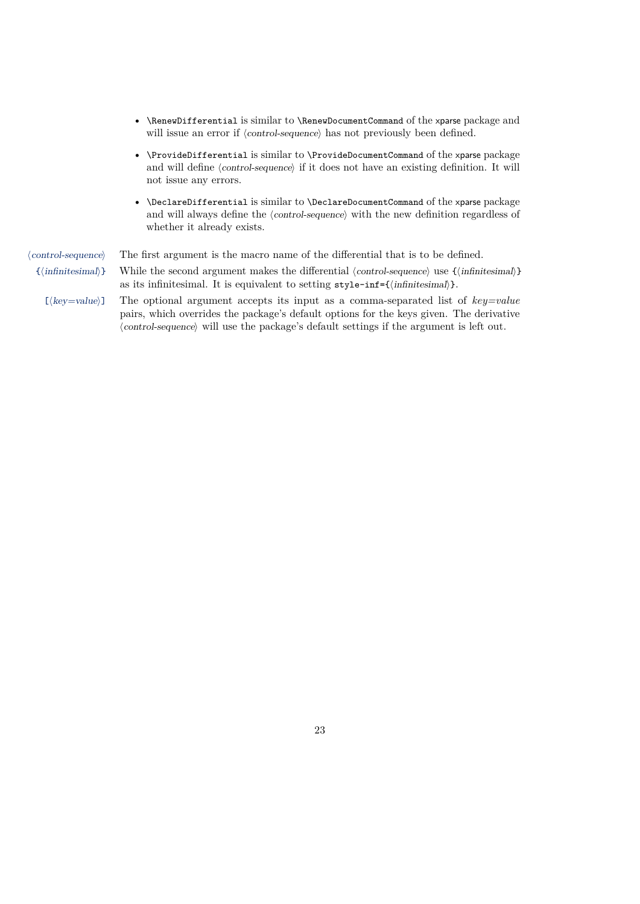- <span id="page-22-0"></span>• \RenewDifferential is similar to \RenewDocumentCommand of the xparse package and will issue an error if  $\langle control\text{-}sequence \rangle$  has not previously been defined.
- \ProvideDifferential is similar to \ProvideDocumentCommand of the xparse package and will define  $\langle control\text{-}sequence \rangle$  if it does not have an existing definition. It will not issue any errors.
- \DeclareDifferential is similar to \DeclareDocumentCommand of the xparse package and will always define the  $\langle$ control-sequence $\rangle$  with the new definition regardless of whether it already exists.

⟨control-sequence⟩ The first argument is the macro name of the differential that is to be defined. {⟨infinitesimal⟩} While the second argument makes the differential ⟨control-sequence⟩ use {⟨infinitesimal⟩} as its infinitesimal. It is equivalent to setting style-inf={ $\{infinitesimal\}$ }. [⟨key=value⟩] The optional argument accepts its input as a comma-separated list of *key=value* pairs, which overrides the package's default options for the keys given. The derivative ⟨control-sequence⟩ will use the package's default settings if the argument is left out.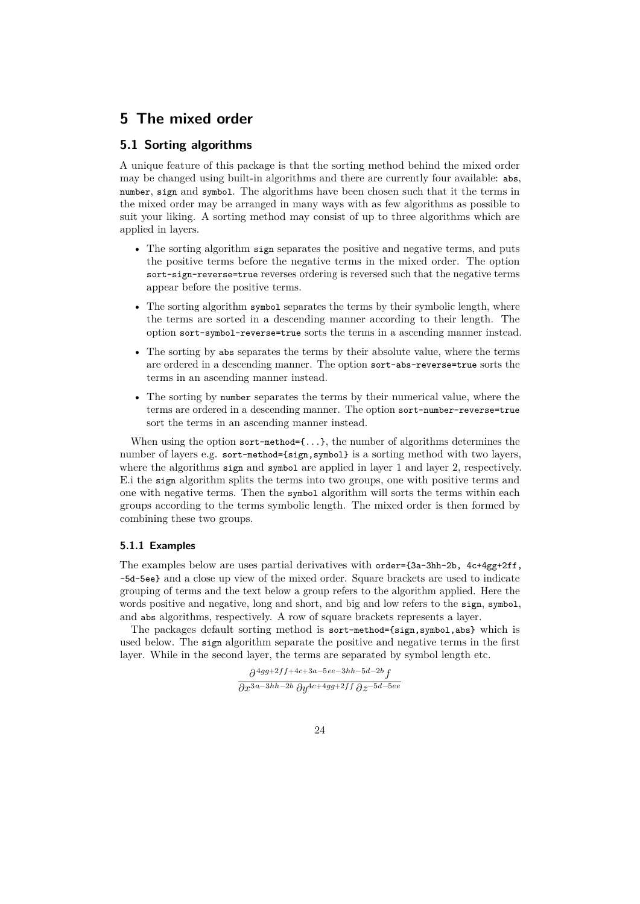## <span id="page-23-3"></span><span id="page-23-0"></span>**5 The mixed order**

## <span id="page-23-1"></span>**5.1 Sorting algorithms**

A unique feature of this package is that the sorting method behind the mixed order may be changed using built-in algorithms and there are currently four available: abs, number, sign and symbol. The algorithms have been chosen such that it the terms in the mixed order may be arranged in many ways with as few algorithms as possible to suit your liking. A sorting method may consist of up to three algorithms which are applied in layers.

- The sorting algorithm sign separates the positive and negative terms, and puts the positive terms before the negative terms in the mixed order. The option sort-sign-reverse=true reverses ordering is reversed such that the negative terms appear before the positive terms.
- The sorting algorithm symbol separates the terms by their symbolic length, where the terms are sorted in a descending manner according to their length. The option sort-symbol-reverse=true sorts the terms in a ascending manner instead.
- The sorting by abs separates the terms by their absolute value, where the terms are ordered in a descending manner. The option sort-abs-reverse=true sorts the terms in an ascending manner instead.
- The sorting by number separates the terms by their numerical value, where the terms are ordered in a descending manner. The option sort-number-reverse=true sort the terms in an ascending manner instead.

When using the option sort-method= $\{ \ldots \}$ , the number of algorithms determines the number of layers e.g. sort-method={sign,symbol} is a sorting method with two layers, where the algorithms sign and symbol are applied in layer 1 and layer 2, respectively. E.i the sign algorithm splits the terms into two groups, one with positive terms and one with negative terms. Then the symbol algorithm will sorts the terms within each groups according to the terms symbolic length. The mixed order is then formed by combining these two groups.

## <span id="page-23-2"></span>**5.1.1 Examples**

The examples below are uses partial derivatives with order={3a-3hh-2b, 4c+4gg+2ff, -5d-5ee} and a close up view of the mixed order. Square brackets are used to indicate grouping of terms and the text below a group refers to the algorithm applied. Here the words positive and negative, long and short, and big and low refers to the sign, symbol, and abs algorithms, respectively. A row of square brackets represents a layer.

The packages default sorting method is sort-method={sign,symbol,abs} which is used below. The sign algorithm separate the positive and negative terms in the first layer. While in the second layer, the terms are separated by symbol length etc.

> $\partial^{4gg+2ff+4c+3a-5ee-3hh-5d-2b}f$  $\partial x^{3a-3hh-2b}\,\partial y^{4c+4gg+2ff}\,\partial z^{-5d-5ee}$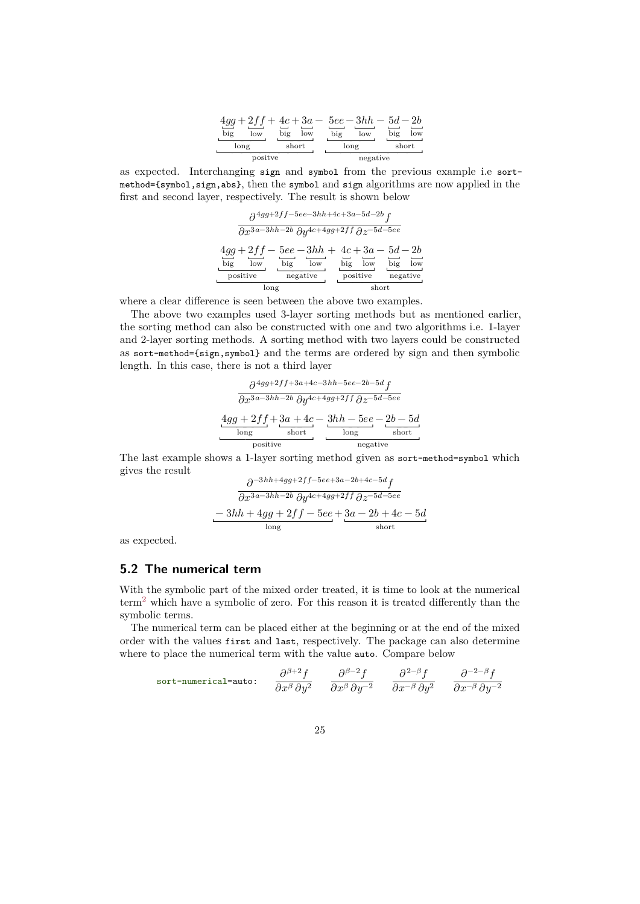|            |            |            | $4gg+2ff+4c+3a-5ee-3hh-5d-2b$ |
|------------|------------|------------|-------------------------------|
| big<br>low | big<br>low | big<br>low | big<br>low                    |
| long       | short      | long       | short                         |
| positve    |            |            | negative                      |

<span id="page-24-1"></span>as expected. Interchanging sign and symbol from the previous example i.e sortmethod={symbol,sign,abs}, then the symbol and sign algorithms are now applied in the first and second layer, respectively. The result is shown below

$$
\frac{\partial^{4gg+2ff-5ee-3hh+4c+3a-5d-2b}f}{\partial x^{3a-3hh-2b}\partial y^{4c+4gg+2ff}\partial z^{-5d-5ee}}
$$
\n
$$
\frac{4gg+2ff-5ee-3hh+4c+3a-5d-2b}{\text{big}}{\text{low}\atop \text{low}}\frac{4cg}{\text{low}\atop \text{no}}{\text{big}}{\text{low}\atop \text{no}}\frac{5d-2b}{\text{low}\atop \text{no}}}
$$

where a clear difference is seen between the above two examples.

The above two examples used 3-layer sorting methods but as mentioned earlier, the sorting method can also be constructed with one and two algorithms i.e. 1-layer and 2-layer sorting methods. A sorting method with two layers could be constructed as sort-method={sign,symbol} and the terms are ordered by sign and then symbolic length. In this case, there is not a third layer

$$
\frac{\partial^{4gg+2ff+3a+4c-3hh-5ee-2b-5d}f}{\partial x^{3a-3hh-2b}\partial y^{4c+4gg+2ff}\partial z^{-5d-5ee}}
$$
\n
$$
\frac{4gg+2ff+3a+4c-3hh-5ee-2b-5d}{\text{long}}
$$
\n
$$
\xrightarrow{\text{short}}
$$
\n
$$
\xrightarrow{\text{long}}
$$
\n
$$
\xrightarrow{\text{short}}
$$
\n
$$
\xrightarrow{\text{long}}
$$
\n
$$
\xrightarrow{\text{short}}
$$
\n
$$
\xrightarrow{\text{long}}
$$

The last example shows a 1-layer sorting method given as sort-method=symbol which gives the result

$$
\frac{\partial^{-3hh+4gg+2ff-5ee+3a-2b+4c-5d}f}{\partial x^{3a-3hh-2b}\partial y^{4c+4gg+2ff}\partial z^{-5d-5ee}}
$$
\n
$$
-3hh+4gg+2ff-5ee+3a-2b+4c-5d
$$
\nlong

as expected.

## <span id="page-24-0"></span>**5.2 The numerical term**

With the symbolic part of the mixed order treated, it is time to look at the numerical term[2](#page-15-0) which have a symbolic of zero. For this reason it is treated differently than the symbolic terms.

The numerical term can be placed either at the beginning or at the end of the mixed order with the values first and last, respectively. The package can also determine where to place the numerical term with the value auto. Compare below

$$
\text{sort-numerical=auto:} \qquad \frac{\partial^{\beta+2} f}{\partial x^\beta \partial y^2} \qquad \frac{\partial^{\beta-2} f}{\partial x^\beta \partial y^{-2}} \qquad \frac{\partial^{2-\beta} f}{\partial x^{-\beta} \partial y^2} \qquad \frac{\partial^{-2-\beta} f}{\partial x^{-\beta} \partial y^{-2}}
$$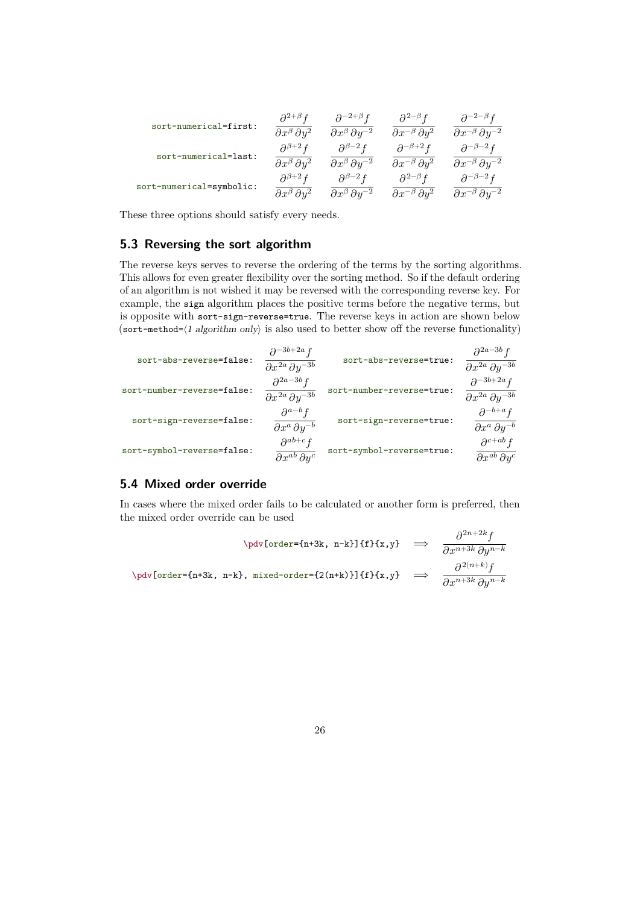<span id="page-25-2"></span>

| sort-numerical=first:    | $\partial^{2+\beta} f$            | $\partial^{-2+\beta}f$               | $\partial^{2-\beta} f$             | $\partial^{-2-\beta}f$                |
|--------------------------|-----------------------------------|--------------------------------------|------------------------------------|---------------------------------------|
|                          | $\partial x^{\beta} \partial y^2$ | $\partial x^{\beta} \partial y^{-2}$ | $\partial x^{-\beta} \partial y^2$ | $\partial x^{-\beta} \partial y^{-2}$ |
| sort-numerical=last:     | $\partial^{\beta+2} f$            | $\partial^{\beta-2} f$               | $\partial^{-\beta+2} f$            | $\partial^{-\beta-2} f$               |
|                          | $\partial x^{\beta} \partial y^2$ | $\partial x^{\beta} \partial y^{-2}$ | $\partial x^{-\beta} \partial y^2$ | $\partial x^{-\beta} \partial y^{-2}$ |
| sort-numerical=symbolic: | $\partial^{\beta+2} f$            | $\partial^{\beta-2} f$               | $\partial^{2-\beta} f$             | $\partial^{-\beta-2} f$               |
|                          | $\partial x^{\beta} \partial y^2$ | $\partial x^{\beta} \partial y^{-2}$ | $\partial x^{-\beta} \partial y^2$ | $\partial x^{-\beta} \partial y^{-2}$ |

These three options should satisfy every needs.

## <span id="page-25-0"></span>**5.3 Reversing the sort algorithm**

The reverse keys serves to reverse the ordering of the terms by the sorting algorithms. This allows for even greater flexibility over the sorting method. So if the default ordering of an algorithm is not wished it may be reversed with the corresponding reverse key. For example, the sign algorithm places the positive terms before the negative terms, but is opposite with sort-sign-reverse=true. The reverse keys in action are shown below (sort-method= $\langle$ 1 algorithm only) is also used to better show off the reverse functionality)

| $\partial^{2a-3b} f$<br>$\partial x^{2a} \partial y^{-3b}$  | sort-abs-reverse=true:    | $\partial^{-3b+2a} f$<br>$\partial x^{2a} \partial y^{-3b}$     | sort-abs-reverse=false:    |
|-------------------------------------------------------------|---------------------------|-----------------------------------------------------------------|----------------------------|
| $\partial^{-3b+2a} f$<br>$\partial x^{2a} \partial y^{-3b}$ | sort-number-reverse=true: | $\partial^{2a-3b} f$<br>$\partial x^{2a} \, \partial y^{-3b}$   | sort-number-reverse=false: |
| $\partial^{-b+a} f$<br>$\partial x^a \, \partial y^{-b}$    | sort-sign-reverse=true:   | $\partial^{a-b} f$<br>$\partial x^a \, \partial y^{-b}$         | sort-sign-reverse=false:   |
| $\partial^{c+ab} f$<br>$\partial x^{ab} \, \partial y^c$    | sort-symbol-reverse=true: | $\partial^{ab+c} f$<br>$\overline{\partial x^{ab}\partial y^c}$ | sort-symbol-reverse=false: |

## <span id="page-25-1"></span>**5.4 Mixed order override**

In cases where the mixed order fails to be calculated or another form is preferred, then the mixed order override can be used

$$
\dot{\text{order}}=\{n+3k, n-k\}\{f\}\{x,y\} \implies \frac{\partial^{2n+2k}f}{\partial x^{n+3k}\partial y^{n-k}}
$$
\n
$$
\n\dot{\text{order}}=\{n+3k, n-k\}, \text{mixed-order}=\{2(n+k)\}\{f\}\{x,y\} \implies \frac{\partial^{2(n+k)}f}{\partial x^{n+3k}\partial y^{n-k}}
$$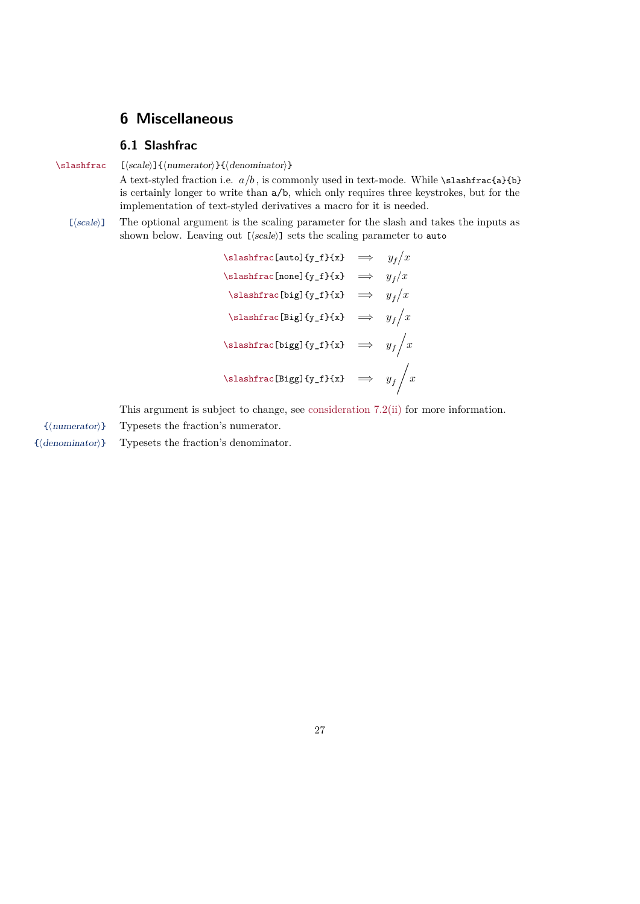## <span id="page-26-2"></span><span id="page-26-0"></span>**6 Miscellaneous**

## <span id="page-26-1"></span>**6.1 Slashfrac**

\slashfrac [⟨scale⟩]{⟨numerator⟩}{⟨denominator⟩}

A text-styled fraction i.e.  $a/b$ , is commonly used in text-mode. While \slashfrac{a}{b} is certainly longer to write than a/b, which only requires three keystrokes, but for the implementation of text-styled derivatives a macro for it is needed.

[ $\langle scale \rangle$ ] The optional argument is the scaling parameter for the slash and takes the inputs as shown below. Leaving out [ $\langle scale \rangle$ ] sets the scaling parameter to auto

> \slashfrac[auto]{y\_f}{x}  $\implies$   $y_f/x$ \slashfrac[none]{y\_f}{x}  $\implies$   $y_f/x$ \slashfrac[big]{y\_f}{x}  $\implies$   $y_f/x$ \slashfrac[Big]{y\_f}{x}  $\implies$   $y_f/x$ \slashfrac[bigg]{y\_f}{x}  $\implies y_f/x$ \slashfrac[Bigg]{y\_f}{x}  $\implies y_f$  /x

This argument is subject to change, see [consideration 7.2\(ii\)](#page-27-3) for more information.

- {⟨numerator⟩} Typesets the fraction's numerator.
- {⟨denominator⟩} Typesets the fraction's denominator.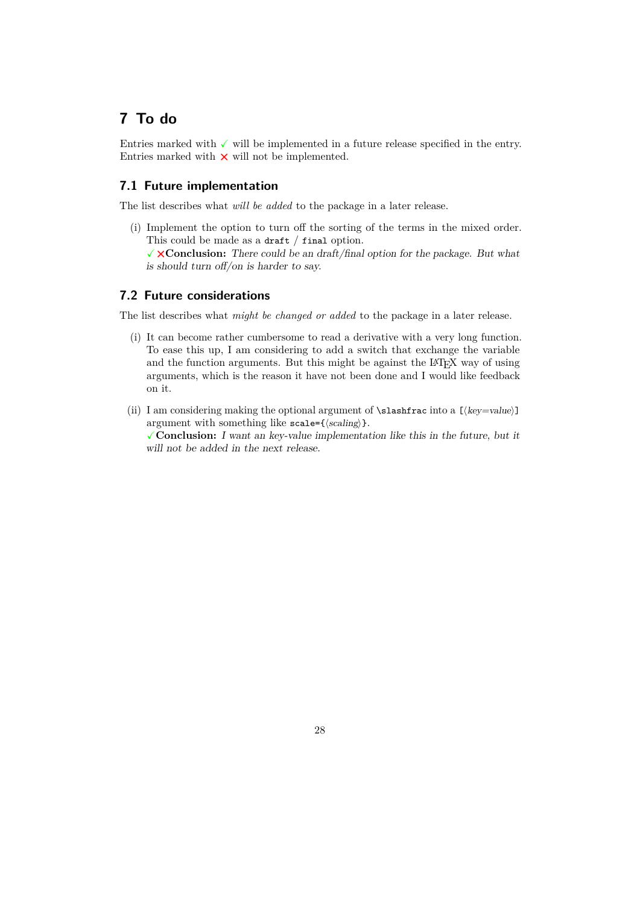## <span id="page-27-0"></span>**7 To do**

Entries marked with  $\checkmark$  will be implemented in a future release specified in the entry. Entries marked with  $\times$  will not be implemented.

## <span id="page-27-1"></span>**7.1 Future implementation**

The list describes what *will be added* to the package in a later release.

(i) Implement the option to turn off the sorting of the terms in the mixed order. This could be made as a draft / final option.

✓⨯**Conclusion:** There could be an draft/final option for the package. But what is should turn off/on is harder to say.

## <span id="page-27-2"></span>**7.2 Future considerations**

The list describes what *might be changed or added* to the package in a later release.

- (i) It can become rather cumbersome to read a derivative with a very long function. To ease this up, I am considering to add a switch that exchange the variable and the function arguments. But this might be against the LAT<sub>EX</sub> way of using arguments, which is the reason it have not been done and I would like feedback on it.
- <span id="page-27-3"></span>(ii) I am considering making the optional argument of  $\sl$ slashfrac into a [ $\langle key = value \rangle$ ] argument with something like scale={ $\langle scaling \rangle$  }. ✓**Conclusion:** I want an key-value implementation like this in the future, but it will not be added in the next release.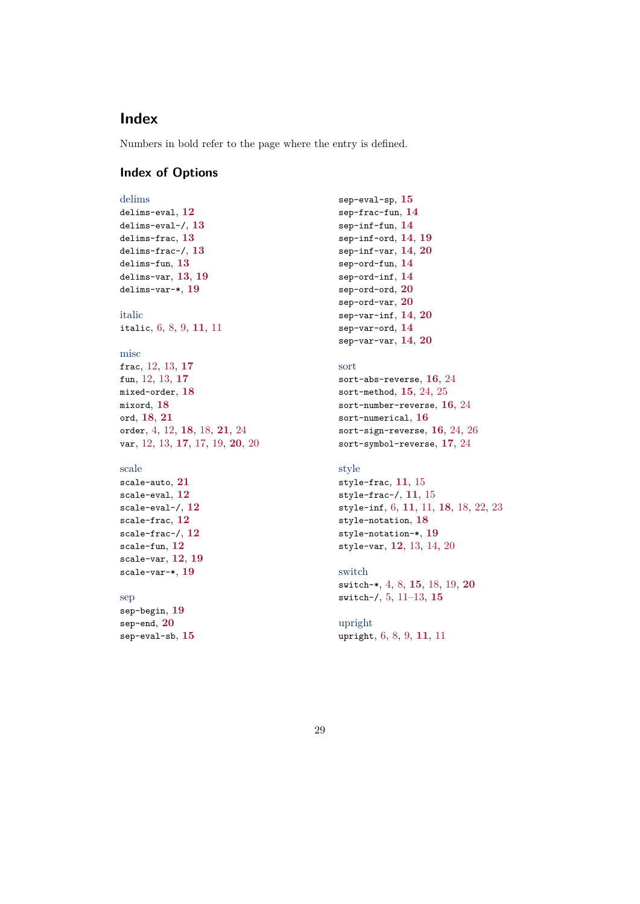## <span id="page-28-0"></span>**Index**

<span id="page-28-1"></span>Numbers in bold refer to the page where the entry is defined.

## **Index of Options**

```
delims
delims-eval, 12
delims-eval-/, 13
delims-frac, 13
delims-frac-/, 13
delims-fun, 13
delims-var, 13, 19
delims-var-*, 19
```
italic italic, [6,](#page-5-1) [8,](#page-7-2) [9,](#page-8-0) **[11](#page-10-2)**, [11](#page-10-2)

## misc

```
frac, 12, 13, 17
fun, 12, 13, 17
mixed-order, 18
mixord, 18
ord, 18, 21
order, 4, 12, 18, 18, 21, 24
var, 12, 13, 17, 17, 19, 20, 20
```
### scale

```
scale-auto, 21
scale-eval, 12
scale-eval-/, 12
scale-frac, 12
scale-frac-/, 12
scale-fun, 12
scale-var, 12, 19
scale-var-*, 19
```
#### sep

sep-begin, **[19](#page-18-0)** sep-end, **[20](#page-19-0)** sep-eval-sb, **[15](#page-14-0)**

```
sep-eval-sp, 15
sep-frac-fun, 14
sep-inf-fun, 14
sep-inf-ord, 14, 19
sep-inf-var, 14, 20
sep-ord-fun, 14
sep-ord-inf, 14
sep-ord-ord, 20
sep-ord-var, 20
sep-var-inf, 14, 20
sep-var-ord, 14
sep-var-var, 14, 20
```
## sort

```
sort-abs-reverse, 16, 24
sort-method, 15, 24, 25
sort-number-reverse, 16, 24
sort-numerical, 16
sort-sign-reverse, 16, 24, 26
sort-symbol-reverse, 17, 24
```
## style

```
style-frac, 11, 15
style-frac-/, 11, 15
style-inf, 6, 11, 11, 18, 18, 22, 23
style-notation, 18
style-notation-*, 19
style-var, 12, 13, 14, 20
```
## switch

switch-\*, [4,](#page-3-1) [8,](#page-7-2) **[15](#page-14-0)**, [18,](#page-17-1) [19,](#page-18-0) **[20](#page-19-0)** switch-/, [5,](#page-4-1) [11–](#page-10-2)[13,](#page-12-0) **[15](#page-14-0)**

upright upright, [6,](#page-5-1) [8,](#page-7-2) [9,](#page-8-0) **[11](#page-10-2)**, [11](#page-10-2)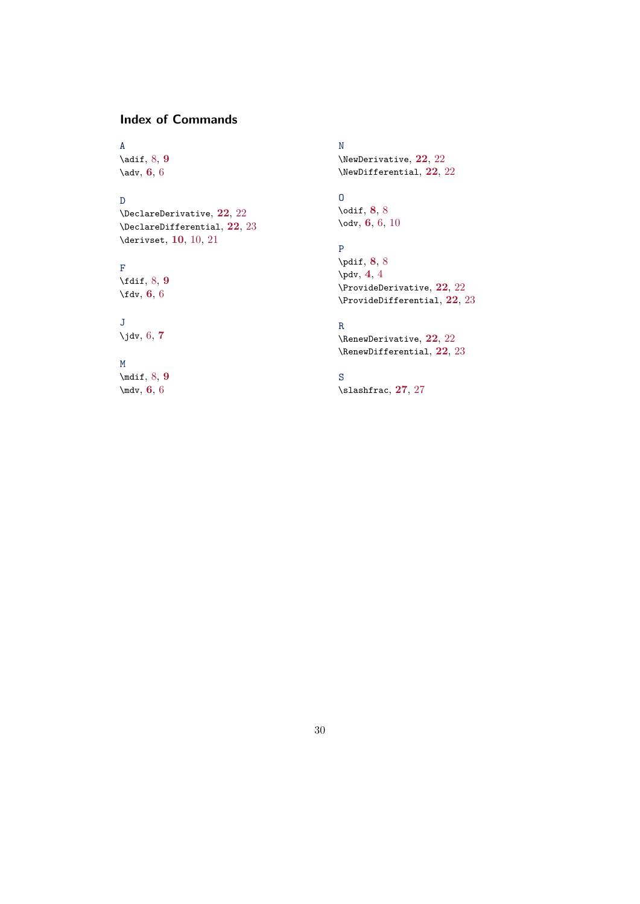## <span id="page-29-0"></span>**Index of Commands**

## A

\adif, [8,](#page-7-2) **[9](#page-8-0)** \adv, **[6](#page-5-1)**, [6](#page-5-1)

## D

\DeclareDerivative, **[22](#page-21-3)**, [22](#page-21-3) \DeclareDifferential, **[22](#page-21-3)**, [23](#page-22-0) \derivset, **[10](#page-9-2)**, [10,](#page-9-2) [21](#page-20-1)

## F

\fdif, [8,](#page-7-2) **[9](#page-8-0)** \fdv, **[6](#page-5-1)**, [6](#page-5-1)

## J

\jdv, [6,](#page-5-1) **[7](#page-6-0)**

## M

\mdif, [8,](#page-7-2) **[9](#page-8-0)** \mdv, **[6](#page-5-1)**, [6](#page-5-1)

## N

\NewDerivative, **[22](#page-21-3)**, [22](#page-21-3) \NewDifferential, **[22](#page-21-3)**, [22](#page-21-3)

## $\Omega$

\odif, **[8](#page-7-2)**, [8](#page-7-2) \odv, **[6](#page-5-1)**, [6,](#page-5-1) [10](#page-9-2)

## P

\pdif, **[8](#page-7-2)**, [8](#page-7-2) \pdv, **[4](#page-3-1)**, [4](#page-3-1) \ProvideDerivative, **[22](#page-21-3)**, [22](#page-21-3) \ProvideDifferential, **[22](#page-21-3)**, [23](#page-22-0)

## R

\RenewDerivative, **[22](#page-21-3)**, [22](#page-21-3) \RenewDifferential, **[22](#page-21-3)**, [23](#page-22-0)

## S

\slashfrac, **[27](#page-26-2)**, [27](#page-26-2)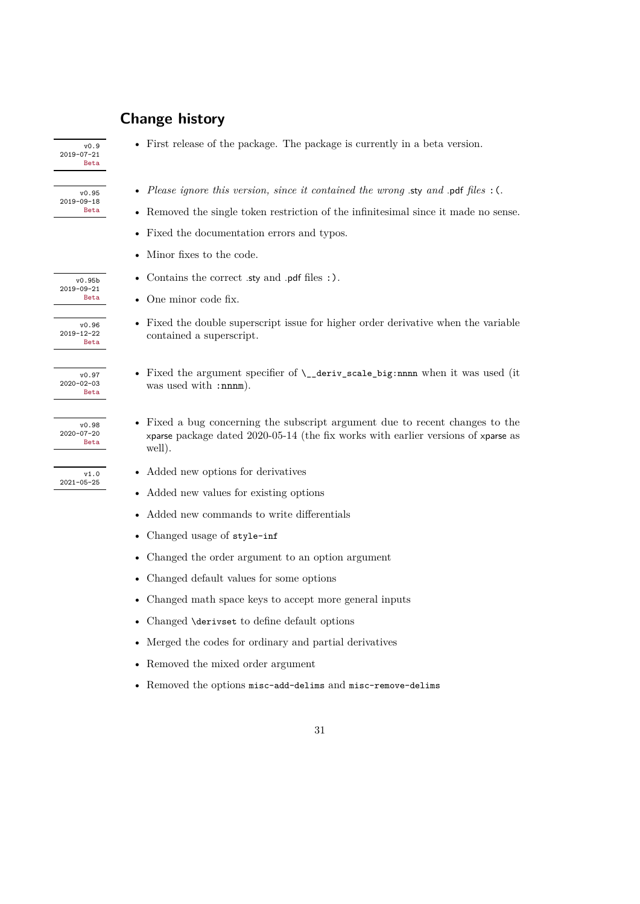## <span id="page-30-0"></span>**Change history**

| v0.9<br>$2019 - 07 - 21$<br><b>Beta</b> |
|-----------------------------------------|
|                                         |

2019-09-18

2019-09-21

- 2019-12-22 Beta
- 2020-02-03 Beta
- 2020-07-20 Beta

2021-05-25

v0.95 • *Please ignore this version, since it contained the wrong* .sty *and* .pdf *files* :(.

• First release of the package. The package is currently in a beta version.

- $\bullet$  Removed the single token restriction of the infinitesimal since it made no sense.
- Fixed the documentation errors and typos.
- Minor fixes to the code.
- $\overline{v_{0.95b}}$  Contains the correct .sty and .pdf files :).
	- One minor code fix.
- $\overline{v_{0.96}}$  Fixed the double superscript issue for higher order derivative when the variable contained a superscript.
- $\overline{v_{0.97}}$  Fixed the argument specifier of  $\_{\text{deriv\_scale\_big:nnnn}}$  when it was used (it was used with :nnnm).
- $\overline{v_{0.98}}$  Fixed a bug concerning the subscript argument due to recent changes to the xparse package dated 2020-05-14 (the fix works with earlier versions of xparse as well).
- $\overline{v_1,0}$  Added new options for derivatives
	- Added new values for existing options
	- Added new commands to write differentials
	- Changed usage of style-inf
	- Changed the order argument to an option argument
	- Changed default values for some options
	- Changed math space keys to accept more general inputs
	- Changed \derivset to define default options
	- Merged the codes for ordinary and partial derivatives
	- Removed the mixed order argument
	- Removed the options misc-add-delims and misc-remove-delims